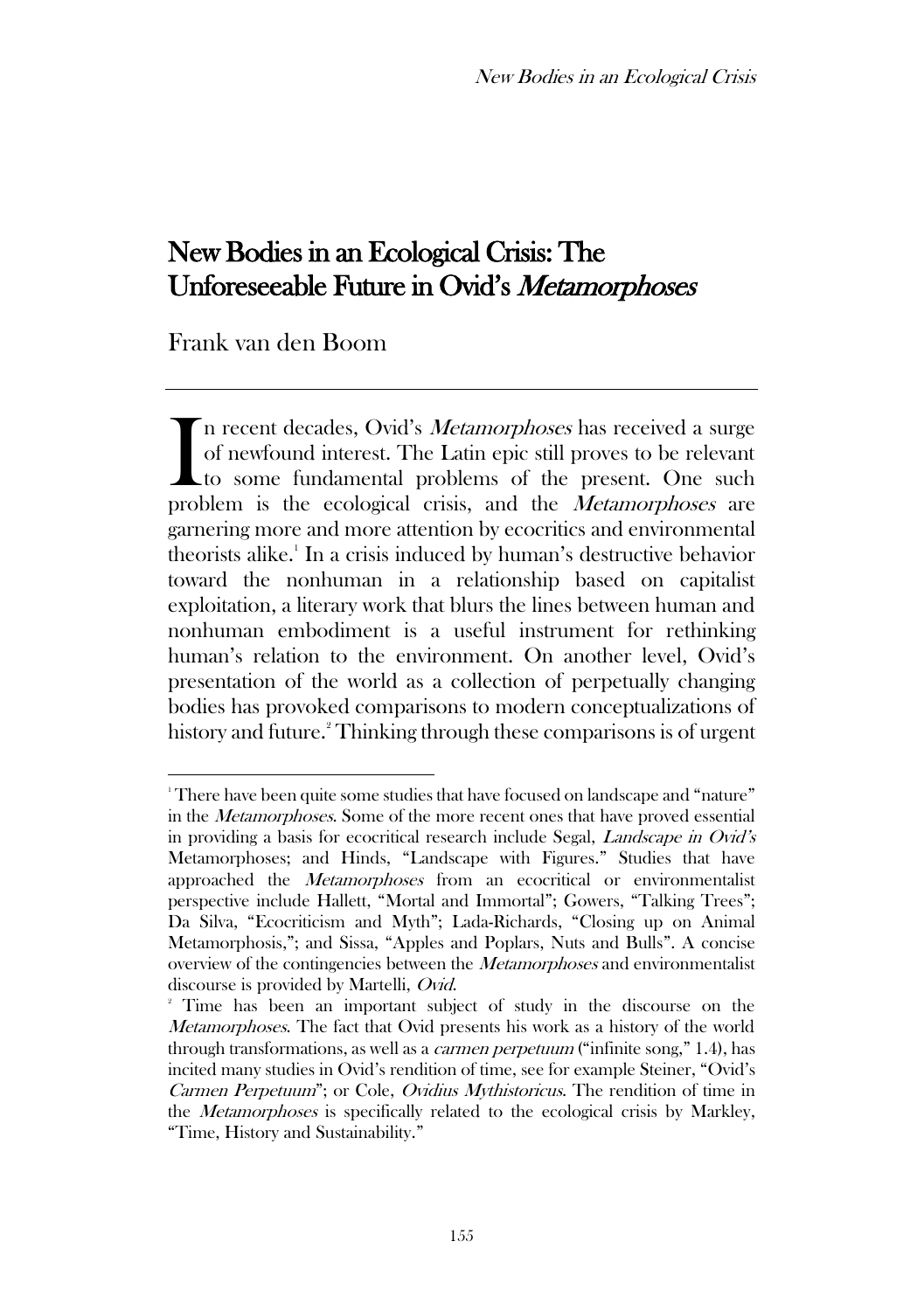# New Bodies in an Ecological Crisis: The Unforeseeable Future in Ovid's Metamorphoses

Frank van den Boom

In recent decades, Ovid's *Metamorphoses* has received a surge of newfound interest. The Latin epic still proves to be relevant to some fundamental problems of the present. One such In recent decades, Ovid's *Metamorphoses* has received a surge of newfound interest. The Latin epic still proves to be relevant to some fundamental problems of the present. One such problem is the ecological crisis, and th garnering more and more attention by ecocritics and environmental theorists alike.<sup>1</sup> In a crisis induced by human's destructive behavior toward the nonhuman in a relationship based on capitalist exploitation, a literary work that blurs the lines between human and nonhuman embodiment is a useful instrument for rethinking human's relation to the environment. On another level, Ovid's presentation of the world as a collection of perpetually changing bodies has provoked comparisons to modern conceptualizations of history and future.<sup>2</sup> Thinking through these comparisons is of urgent

<sup>&</sup>lt;sup>1</sup> There have been quite some studies that have focused on landscape and "nature" in the Metamorphoses. Some of the more recent ones that have proved essential in providing a basis for ecocritical research include Segal, Landscape in Ovid's Metamorphoses; and Hinds, "Landscape with Figures." Studies that have approached the Metamorphoses from an ecocritical or environmentalist perspective include Hallett, "Mortal and Immortal"; Gowers, "Talking Trees"; Da Silva, "Ecocriticism and Myth"; Lada-Richards, "Closing up on Animal Metamorphosis,"; and Sissa, "Apples and Poplars, Nuts and Bulls". A concise overview of the contingencies between the Metamorphoses and environmentalist discourse is provided by Martelli, Ovid.

<sup>2</sup> Time has been an important subject of study in the discourse on the Metamorphoses. The fact that Ovid presents his work as a history of the world through transformations, as well as a carmen perpetuum ("infinite song," 1.4), has incited many studies in Ovid's rendition of time, see for example Steiner, "Ovid's Carmen Perpetuum"; or Cole, Ovidius Mythistoricus. The rendition of time in the Metamorphoses is specifically related to the ecological crisis by Markley, "Time, History and Sustainability."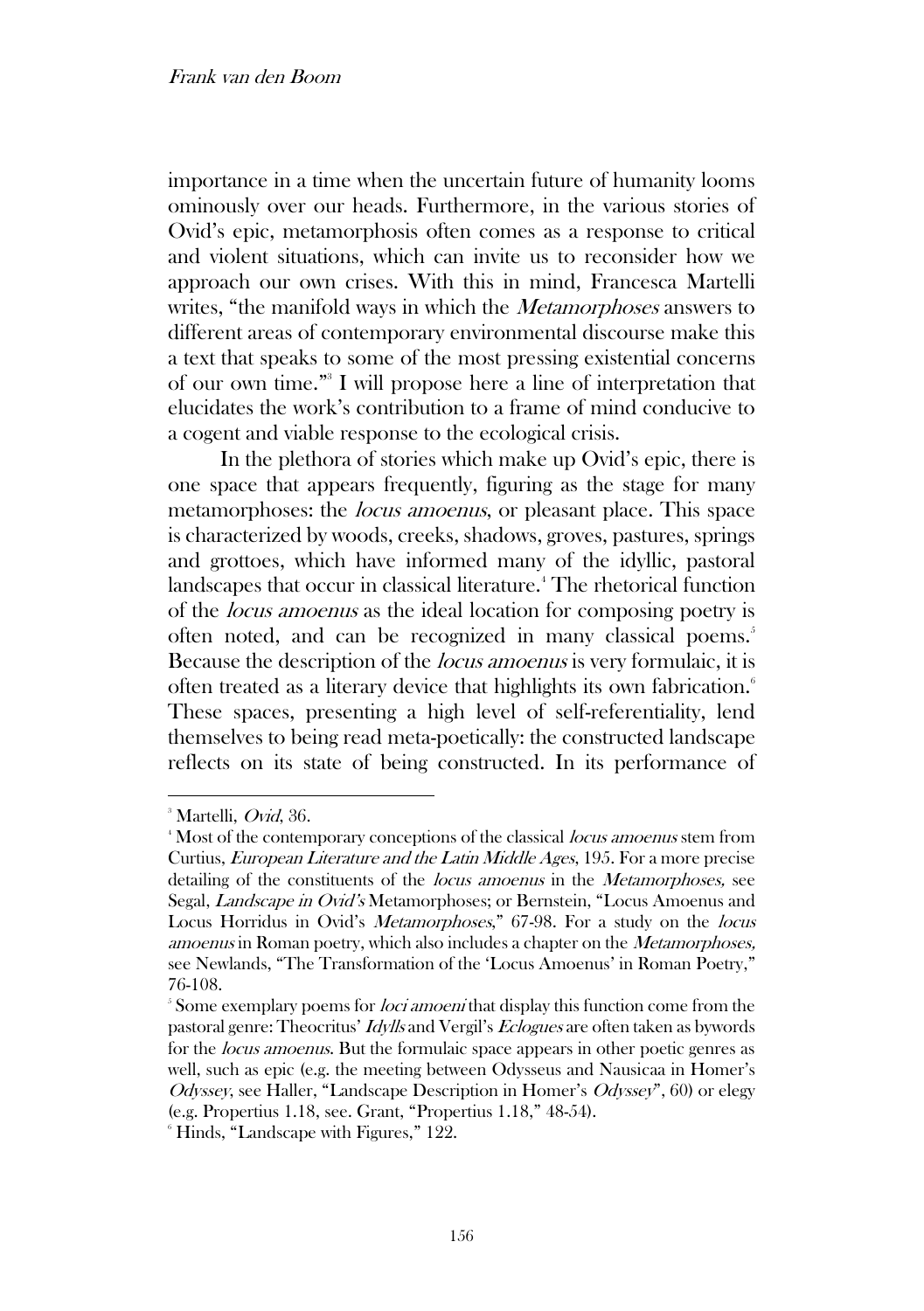importance in a time when the uncertain future of humanity looms ominously over our heads. Furthermore, in the various stories of Ovid's epic, metamorphosis often comes as a response to critical and violent situations, which can invite us to reconsider how we approach our own crises. With this in mind, Francesca Martelli writes, "the manifold ways in which the *Metamorphoses* answers to different areas of contemporary environmental discourse make this a text that speaks to some of the most pressing existential concerns of our own time." 3 I will propose here a line of interpretation that elucidates the work's contribution to a frame of mind conducive to a cogent and viable response to the ecological crisis.

In the plethora of stories which make up Ovid's epic, there is one space that appears frequently, figuring as the stage for many metamorphoses: the *locus amoenus*, or pleasant place. This space is characterized by woods, creeks, shadows, groves, pastures, springs and grottoes, which have informed many of the idyllic, pastoral landscapes that occur in classical literature.<sup>4</sup> The rhetorical function of the locus amoenus as the ideal location for composing poetry is often noted, and can be recognized in many classical poems.<sup>5</sup> Because the description of the locus amoenus is very formulaic, it is often treated as a literary device that highlights its own fabrication.<sup>6</sup> These spaces, presenting a high level of self-referentiality, lend themselves to being read meta-poetically: the constructed landscape reflects on its state of being constructed. In its performance of

 $3$  Martelli, *Ovid*, 36.

<sup>&</sup>lt;sup>4</sup> Most of the contemporary conceptions of the classical *locus amoenus* stem from Curtius, European Literature and the Latin Middle Ages, 195. For a more precise detailing of the constituents of the *locus amoenus* in the *Metamorphoses*, see Segal, Landscape in Ovid's Metamorphoses; or Bernstein, "Locus Amoenus and Locus Horridus in Ovid's Metamorphoses," 67-98. For a study on the locus amoenus in Roman poetry, which also includes a chapter on the Metamorphoses, see Newlands, "The Transformation of the 'Locus Amoenus' in Roman Poetry," 76-108.

<sup>&</sup>lt;sup>5</sup> Some exemplary poems for *loci amoeni* that display this function come from the pastoral genre: Theocritus' Idylls and Vergil's Eclogues are often taken as bywords for the locus amoenus. But the formulaic space appears in other poetic genres as well, such as epic (e.g. the meeting between Odysseus and Nausicaa in Homer's Odyssey, see Haller, "Landscape Description in Homer's Odyssey", 60) or elegy (e.g. Propertius 1.18, see. Grant, "Propertius 1.18," 48-54).

<sup>6</sup> Hinds, "Landscape with Figures," 122.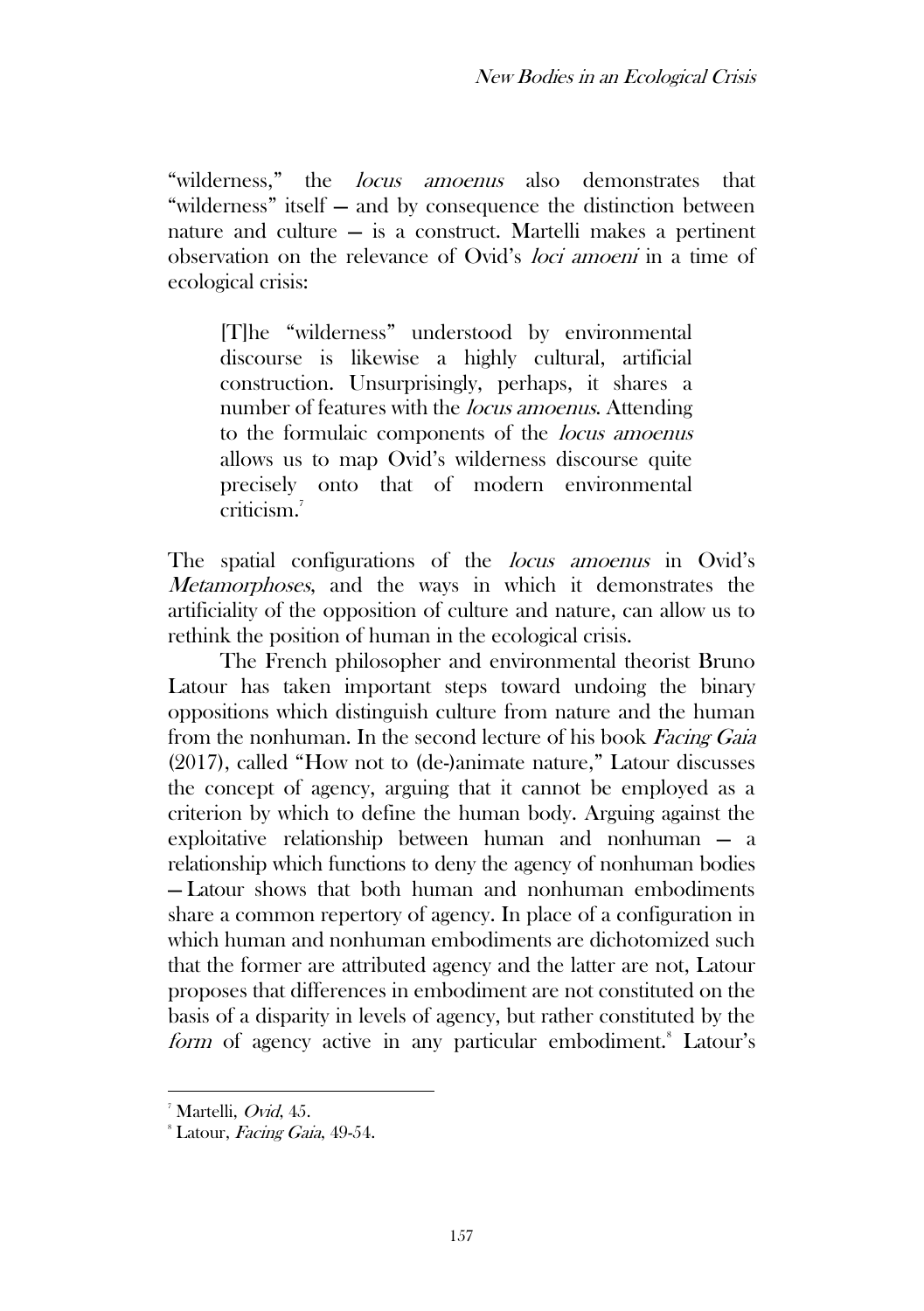"wilderness," the *locus amoenus* also demonstrates that "wilderness" itself — and by consequence the distinction between nature and culture — is a construct. Martelli makes a pertinent observation on the relevance of Ovid's loci amoeni in a time of ecological crisis:

[T]he "wilderness" understood by environmental discourse is likewise a highly cultural, artificial construction. Unsurprisingly, perhaps, it shares a number of features with the *locus amoenus*. Attending to the formulaic components of the locus amoenus allows us to map Ovid's wilderness discourse quite precisely onto that of modern environmental criticism<sup>7</sup>

The spatial configurations of the *locus amoenus* in Ovid's Metamorphoses, and the ways in which it demonstrates the artificiality of the opposition of culture and nature, can allow us to rethink the position of human in the ecological crisis.

The French philosopher and environmental theorist Bruno Latour has taken important steps toward undoing the binary oppositions which distinguish culture from nature and the human from the nonhuman. In the second lecture of his book Facing Gaia (2017), called "How not to (de-)animate nature," Latour discusses the concept of agency, arguing that it cannot be employed as a criterion by which to define the human body. Arguing against the exploitative relationship between human and nonhuman — a relationship which functions to deny the agency of nonhuman bodies — Latour shows that both human and nonhuman embodiments share a common repertory of agency. In place of a configuration in which human and nonhuman embodiments are dichotomized such that the former are attributed agency and the latter are not, Latour proposes that differences in embodiment are not constituted on the basis of a disparity in levels of agency, but rather constituted by the form of agency active in any particular embodiment.<sup>8</sup> Latour's

<sup>7</sup> Martelli, Ovid, 45.

<sup>&</sup>lt;sup>8</sup> Latour, *Facing Gaia*, 49-54.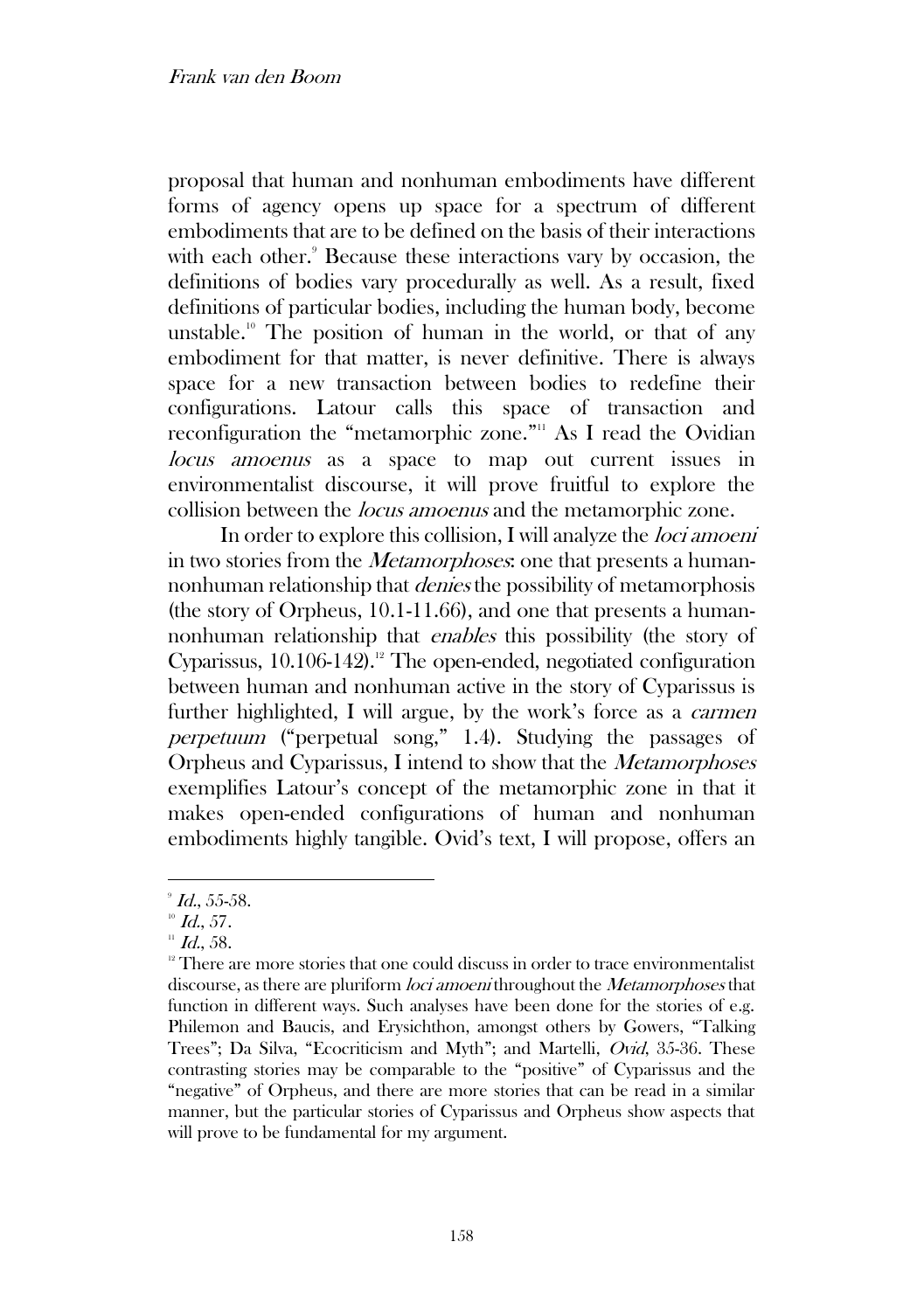proposal that human and nonhuman embodiments have different forms of agency opens up space for a spectrum of different embodiments that are to be defined on the basis of their interactions with each other.<sup>9</sup> Because these interactions vary by occasion, the definitions of bodies vary procedurally as well. As a result, fixed definitions of particular bodies, including the human body, become unstable.<sup>10</sup> The position of human in the world, or that of any embodiment for that matter, is never definitive. There is always space for a new transaction between bodies to redefine their configurations. Latour calls this space of transaction and reconfiguration the "metamorphic zone." As I read the Ovidian locus amoenus as a space to map out current issues in environmentalist discourse, it will prove fruitful to explore the collision between the locus amoenus and the metamorphic zone.

In order to explore this collision, I will analyze the *loci amoeni* in two stories from the Metamorphoses: one that presents a humannonhuman relationship that denies the possibility of metamorphosis (the story of Orpheus, 10.1-11.66), and one that presents a humannonhuman relationship that enables this possibility (the story of Cyparissus,  $10.106-142$ .<sup>12</sup> The open-ended, negotiated configuration between human and nonhuman active in the story of Cyparissus is further highlighted, I will argue, by the work's force as a carmen perpetuum ("perpetual song," 1.4). Studying the passages of Orpheus and Cyparissus, I intend to show that the Metamorphoses exemplifies Latour's concept of the metamorphic zone in that it makes open-ended configurations of human and nonhuman embodiments highly tangible. Ovid's text, I will propose, offers an

 $^{\circ}$  Id., 55-58.

 $10$  Id., 57.

 $11$  Id., 58.

<sup>&</sup>lt;sup>12</sup> There are more stories that one could discuss in order to trace environmentalist discourse, as there are pluriform *loci amoeni* throughout the *Metamorphoses* that function in different ways. Such analyses have been done for the stories of e.g. Philemon and Baucis, and Erysichthon, amongst others by Gowers, "Talking Trees"; Da Silva, "Ecocriticism and Myth"; and Martelli, Ovid, 35-36. These contrasting stories may be comparable to the "positive" of Cyparissus and the "negative" of Orpheus, and there are more stories that can be read in a similar manner, but the particular stories of Cyparissus and Orpheus show aspects that will prove to be fundamental for my argument.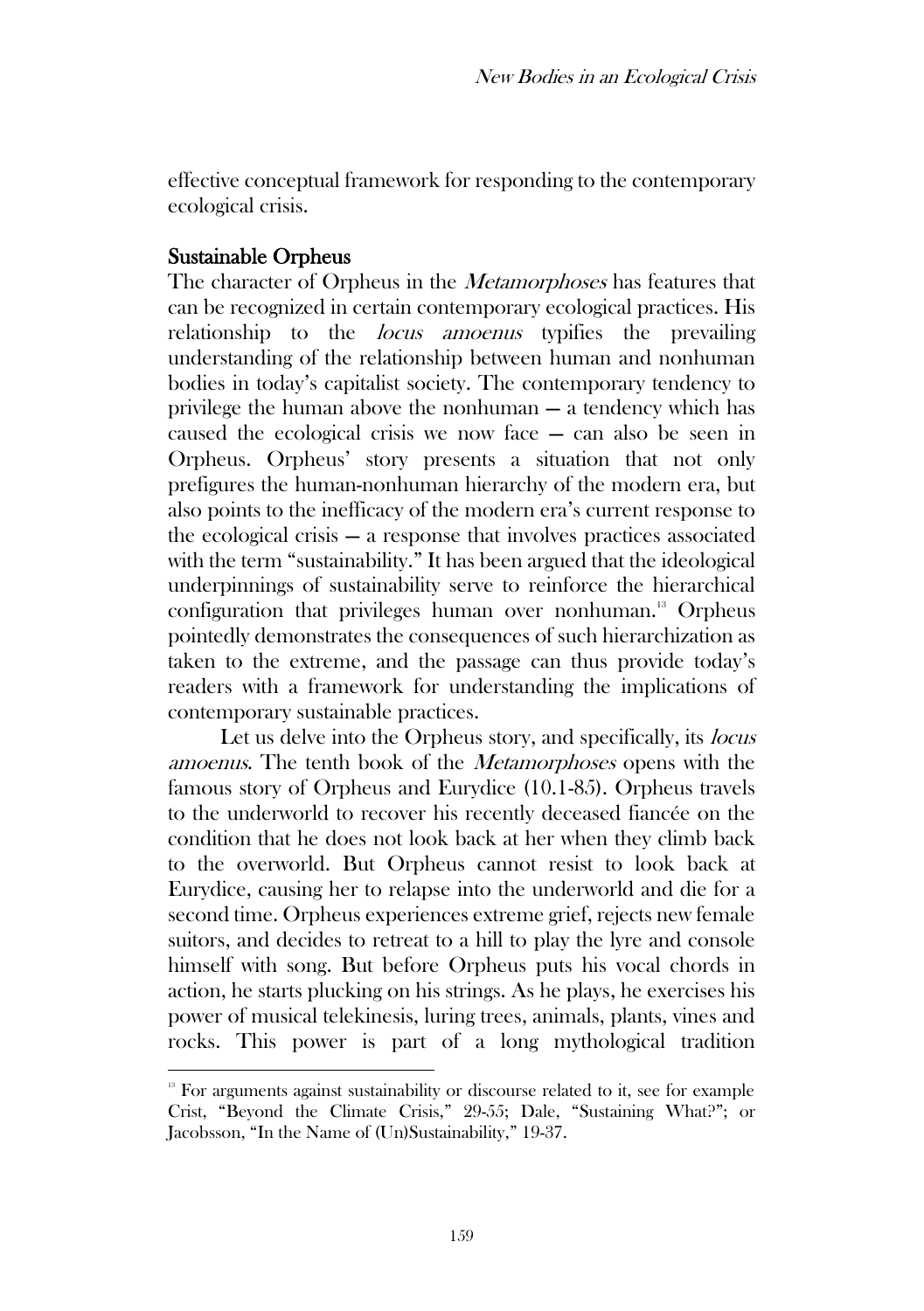effective conceptual framework for responding to the contemporary ecological crisis.

#### Sustainable Orpheus

The character of Orpheus in the *Metamorphoses* has features that can be recognized in certain contemporary ecological practices. His relationship to the *locus amoenus* typifies the prevailing understanding of the relationship between human and nonhuman bodies in today's capitalist society. The contemporary tendency to privilege the human above the nonhuman — a tendency which has caused the ecological crisis we now face — can also be seen in Orpheus. Orpheus' story presents a situation that not only prefigures the human-nonhuman hierarchy of the modern era, but also points to the inefficacy of the modern era's current response to the ecological crisis — a response that involves practices associated with the term "sustainability." It has been argued that the ideological underpinnings of sustainability serve to reinforce the hierarchical configuration that privileges human over nonhuman.<sup>13</sup> Orpheus pointedly demonstrates the consequences of such hierarchization as taken to the extreme, and the passage can thus provide today's readers with a framework for understanding the implications of contemporary sustainable practices.

Let us delve into the Orpheus story, and specifically, its *locus* amoenus. The tenth book of the Metamorphoses opens with the famous story of Orpheus and Eurydice (10.1-85). Orpheus travels to the underworld to recover his recently deceased fiancée on the condition that he does not look back at her when they climb back to the overworld. But Orpheus cannot resist to look back at Eurydice, causing her to relapse into the underworld and die for a second time. Orpheus experiences extreme grief, rejects new female suitors, and decides to retreat to a hill to play the lyre and console himself with song. But before Orpheus puts his vocal chords in action, he starts plucking on his strings. As he plays, he exercises his power of musical telekinesis, luring trees, animals, plants, vines and rocks. This power is part of a long mythological tradition

<sup>&</sup>lt;sup>13</sup> For arguments against sustainability or discourse related to it, see for example Crist, "Beyond the Climate Crisis," 29-55; Dale, "Sustaining What?"; or Jacobsson, "In the Name of (Un)Sustainability," 19-37.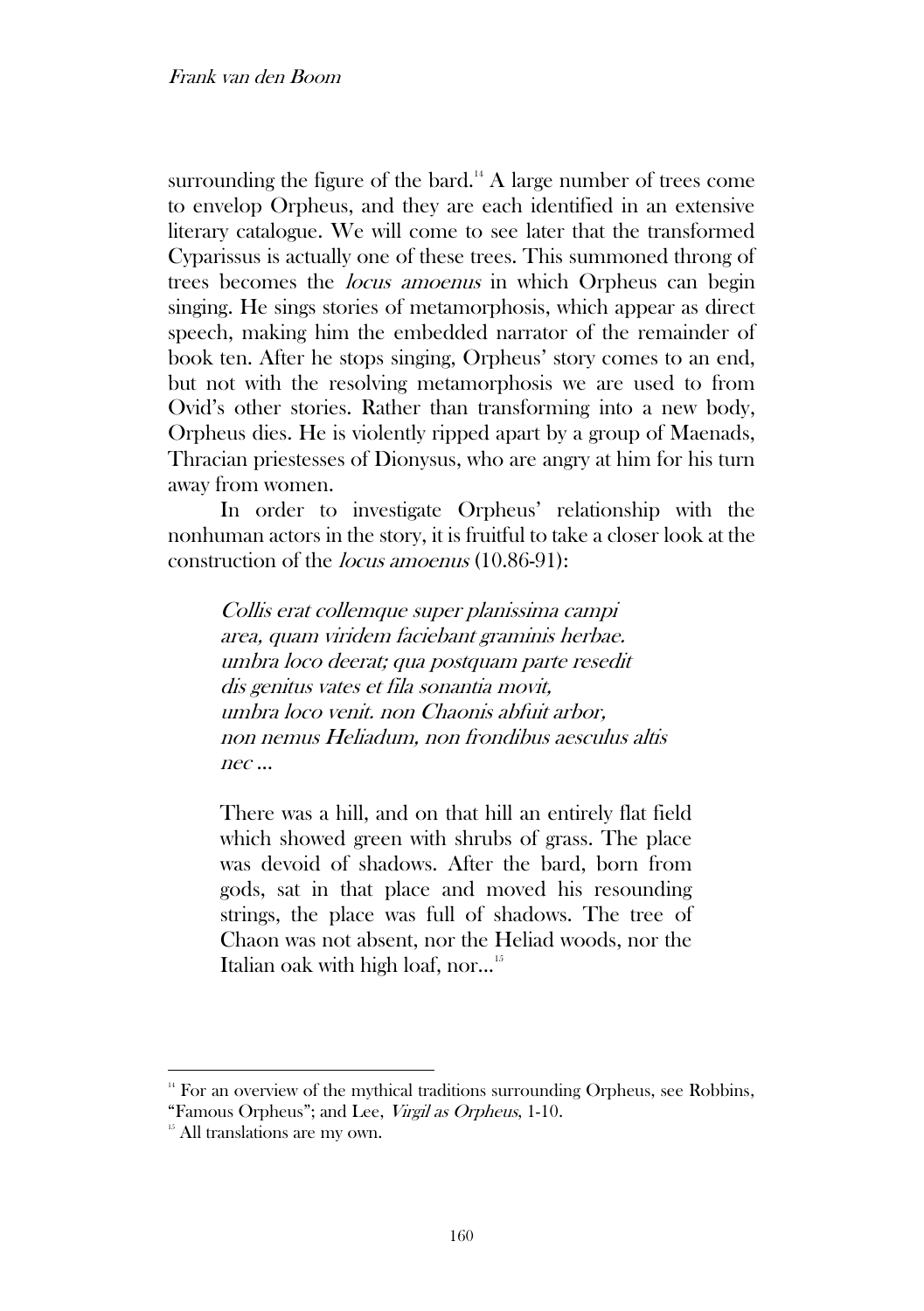surrounding the figure of the bard.<sup>14</sup> A large number of trees come to envelop Orpheus, and they are each identified in an extensive literary catalogue. We will come to see later that the transformed Cyparissus is actually one of these trees. This summoned throng of trees becomes the locus amoenus in which Orpheus can begin singing. He sings stories of metamorphosis, which appear as direct speech, making him the embedded narrator of the remainder of book ten. After he stops singing, Orpheus' story comes to an end, but not with the resolving metamorphosis we are used to from Ovid's other stories. Rather than transforming into a new body, Orpheus dies. He is violently ripped apart by a group of Maenads, Thracian priestesses of Dionysus, who are angry at him for his turn away from women.

In order to investigate Orpheus' relationship with the nonhuman actors in the story, it is fruitful to take a closer look at the construction of the locus amoenus (10.86-91):

Collis erat collemque super planissima campi area, quam viridem faciebant graminis herbae. umbra loco deerat; qua postquam parte resedit dis genitus vates et fila sonantia movit, umbra loco venit. non Chaonis abfuit arbor, non nemus Heliadum, non frondibus aesculus altis nec ...

There was a hill, and on that hill an entirely flat field which showed green with shrubs of grass. The place was devoid of shadows. After the bard, born from gods, sat in that place and moved his resounding strings, the place was full of shadows. The tree of Chaon was not absent, nor the Heliad woods, nor the Italian oak with high loaf, nor...<sup>15</sup>

<sup>&</sup>lt;sup>14</sup> For an overview of the mythical traditions surrounding Orpheus, see Robbins,

<sup>&</sup>quot;Famous Orpheus"; and Lee, Virgil as Orpheus, 1-10.

<sup>&</sup>lt;sup>15</sup> All translations are my own.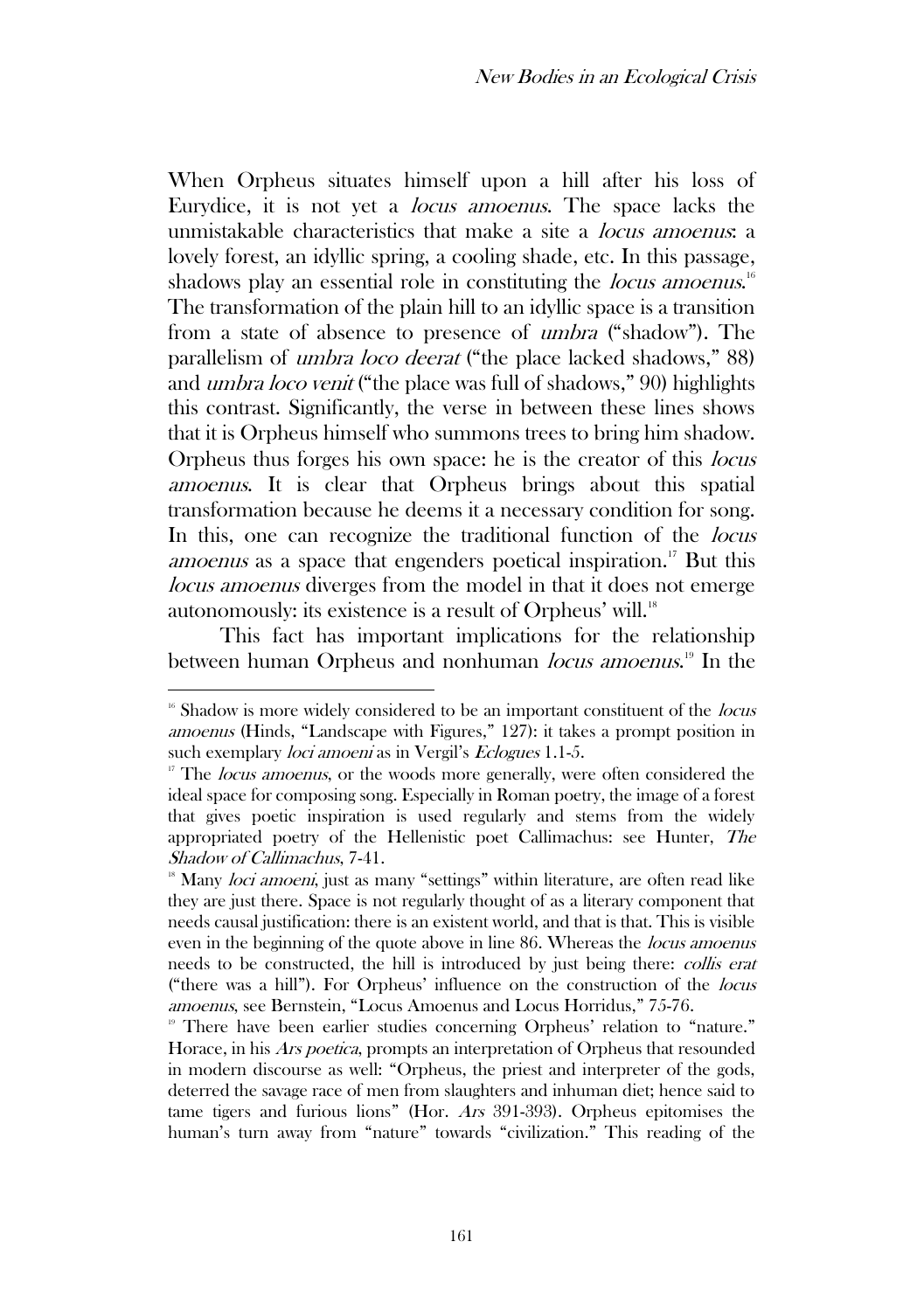When Orpheus situates himself upon a hill after his loss of Eurydice, it is not yet a locus amoenus. The space lacks the unmistakable characteristics that make a site a locus amoenus: a lovely forest, an idyllic spring, a cooling shade, etc. In this passage, shadows play an essential role in constituting the *locus amoenus*.<sup>16</sup> The transformation of the plain hill to an idyllic space is a transition from a state of absence to presence of umbra ("shadow"). The parallelism of umbra loco deerat ("the place lacked shadows," 88) and umbra loco venit ("the place was full of shadows," 90) highlights this contrast. Significantly, the verse in between these lines shows that it is Orpheus himself who summons trees to bring him shadow. Orpheus thus forges his own space: he is the creator of this locus amoenus. It is clear that Orpheus brings about this spatial transformation because he deems it a necessary condition for song. In this, one can recognize the traditional function of the *locus* amoenus as a space that engenders poetical inspiration.<sup>17</sup> But this locus amoenus diverges from the model in that it does not emerge autonomously: its existence is a result of Orpheus' will.<sup>18</sup>

This fact has important implications for the relationship between human Orpheus and nonhuman *locus amoenus*.<sup>19</sup> In the

<sup>&</sup>lt;sup>16</sup> Shadow is more widely considered to be an important constituent of the *locus* amoenus (Hinds, "Landscape with Figures," 127): it takes a prompt position in such exemplary *loci amoeni* as in Vergil's *Eclogues* 1.1-5.

 $17$  The *locus amoenus*, or the woods more generally, were often considered the ideal space for composing song. Especially in Roman poetry, the image of a forest that gives poetic inspiration is used regularly and stems from the widely appropriated poetry of the Hellenistic poet Callimachus: see Hunter, The Shadow of Callimachus, 7-41.

<sup>&</sup>lt;sup>18</sup> Many *loci amoeni*, just as many "settings" within literature, are often read like they are just there. Space is not regularly thought of as a literary component that needs causal justification: there is an existent world, and that is that. This is visible even in the beginning of the quote above in line 86. Whereas the *locus amoenus* needs to be constructed, the hill is introduced by just being there: collis erat ("there was a hill"). For Orpheus' influence on the construction of the locus amoenus, see Bernstein, "Locus Amoenus and Locus Horridus," 75-76.

<sup>&</sup>lt;sup>19</sup> There have been earlier studies concerning Orpheus' relation to "nature." Horace, in his *Ars poetica*, prompts an interpretation of Orpheus that resounded in modern discourse as well: "Orpheus, the priest and interpreter of the gods, deterred the savage race of men from slaughters and inhuman diet; hence said to tame tigers and furious lions" (Hor. Ars 391-393). Orpheus epitomises the human's turn away from "nature" towards "civilization." This reading of the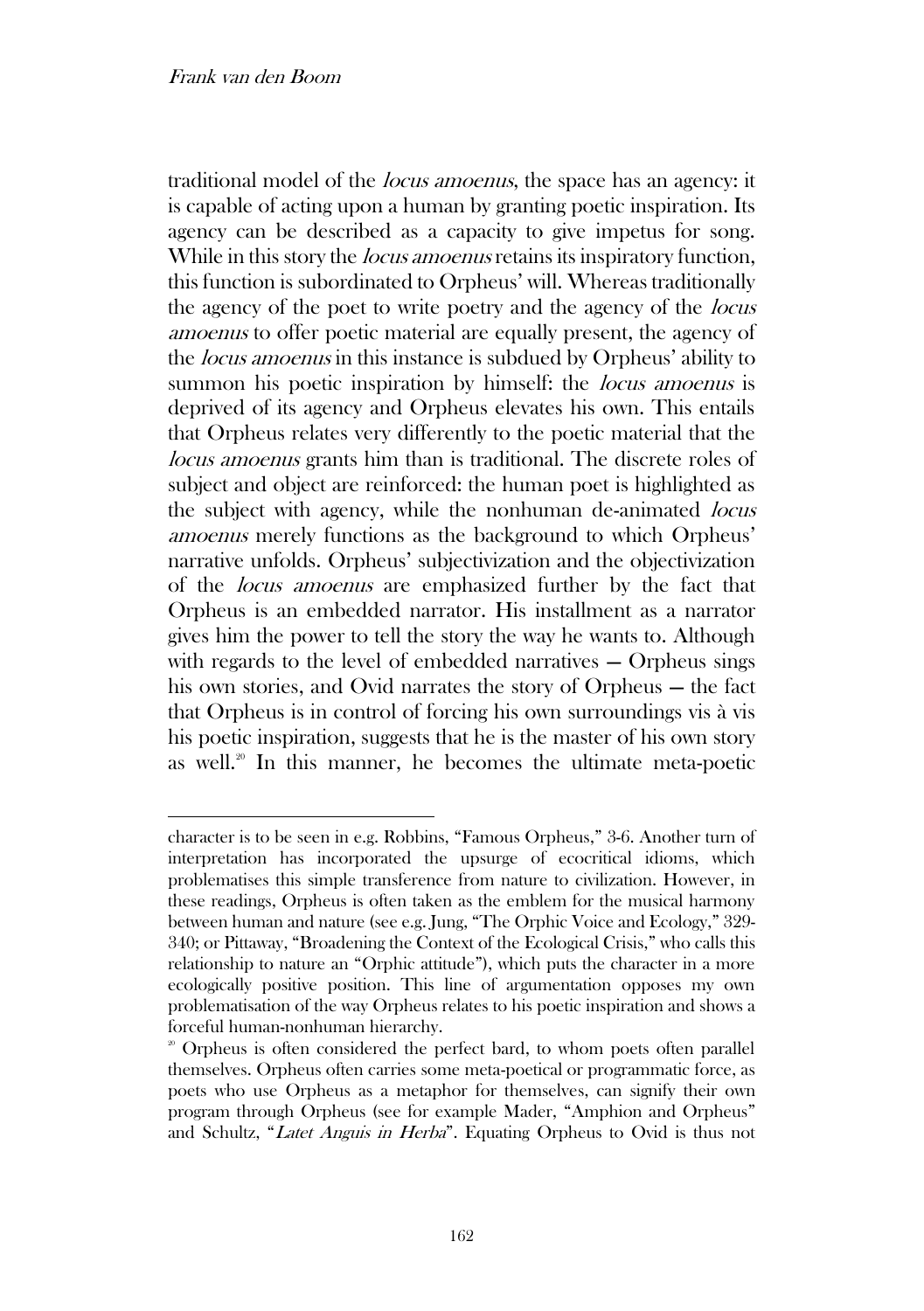traditional model of the locus amoenus, the space has an agency: it is capable of acting upon a human by granting poetic inspiration. Its agency can be described as a capacity to give impetus for song. While in this story the *locus amoenus* retains its inspiratory function, this function is subordinated to Orpheus' will. Whereas traditionally the agency of the poet to write poetry and the agency of the locus amoenus to offer poetic material are equally present, the agency of the locus amoenus in this instance is subdued by Orpheus' ability to summon his poetic inspiration by himself: the *locus amoenus* is deprived of its agency and Orpheus elevates his own. This entails that Orpheus relates very differently to the poetic material that the locus amoenus grants him than is traditional. The discrete roles of subject and object are reinforced: the human poet is highlighted as the subject with agency, while the nonhuman de-animated *locus* amoenus merely functions as the background to which Orpheus' narrative unfolds. Orpheus' subjectivization and the objectivization of the locus amoenus are emphasized further by the fact that Orpheus is an embedded narrator. His installment as a narrator gives him the power to tell the story the way he wants to. Although with regards to the level of embedded narratives — Orpheus sings his own stories, and Ovid narrates the story of Orpheus — the fact that Orpheus is in control of forcing his own surroundings vis à vis his poetic inspiration, suggests that he is the master of his own story as well.<sup>20</sup> In this manner, he becomes the ultimate meta-poetic

character is to be seen in e.g. Robbins, "Famous Orpheus," 3-6. Another turn of interpretation has incorporated the upsurge of ecocritical idioms, which problematises this simple transference from nature to civilization. However, in these readings, Orpheus is often taken as the emblem for the musical harmony between human and nature (see e.g. Jung, "The Orphic Voice and Ecology," 329- 340; or Pittaway, "Broadening the Context of the Ecological Crisis," who calls this relationship to nature an "Orphic attitude"), which puts the character in a more ecologically positive position. This line of argumentation opposes my own problematisation of the way Orpheus relates to his poetic inspiration and shows a forceful human-nonhuman hierarchy.

<sup>&</sup>lt;sup>20</sup> Orpheus is often considered the perfect bard, to whom poets often parallel themselves. Orpheus often carries some meta-poetical or programmatic force, as poets who use Orpheus as a metaphor for themselves, can signify their own program through Orpheus (see for example Mader, "Amphion and Orpheus" and Schultz, "Latet Anguis in Herba". Equating Orpheus to Ovid is thus not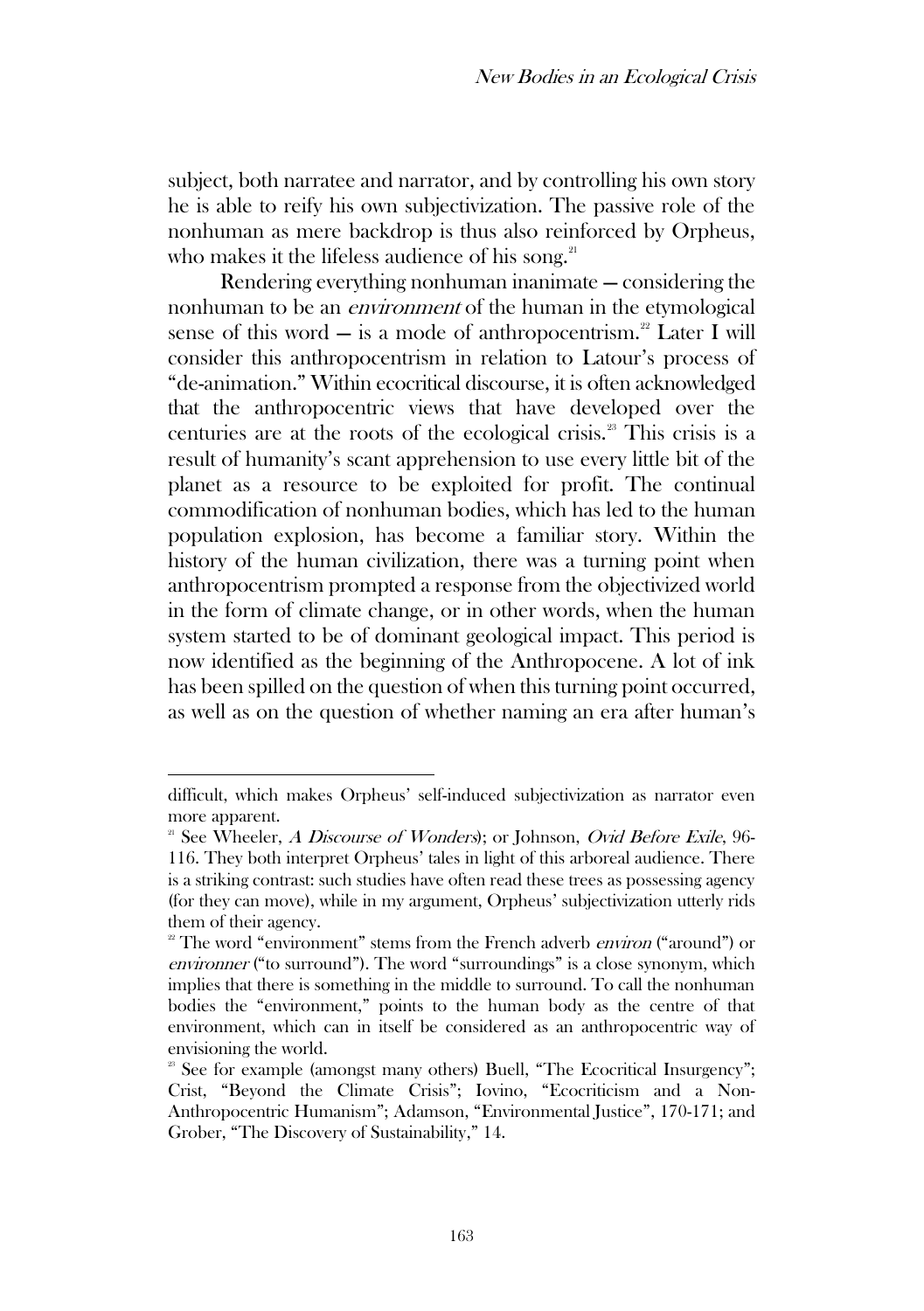subject, both narratee and narrator, and by controlling his own story he is able to reify his own subjectivization. The passive role of the nonhuman as mere backdrop is thus also reinforced by Orpheus, who makes it the lifeless audience of his song. $21$ 

Rendering everything nonhuman inanimate — considering the nonhuman to be an environment of the human in the etymological sense of this word — is a mode of anthropocentrism.<sup>22</sup> Later I will consider this anthropocentrism in relation to Latour's process of "de-animation." Within ecocritical discourse, it is often acknowledged that the anthropocentric views that have developed over the centuries are at the roots of the ecological crisis.<sup>23</sup> This crisis is a result of humanity's scant apprehension to use every little bit of the planet as a resource to be exploited for profit. The continual commodification of nonhuman bodies, which has led to the human population explosion, has become a familiar story. Within the history of the human civilization, there was a turning point when anthropocentrism prompted a response from the objectivized world in the form of climate change, or in other words, when the human system started to be of dominant geological impact. This period is now identified as the beginning of the Anthropocene. A lot of ink has been spilled on the question of when this turning point occurred, as well as on the question of whether naming an era after human's

difficult, which makes Orpheus' self-induced subjectivization as narrator even more apparent.

<sup>&</sup>lt;sup>21</sup> See Wheeler, *A Discourse of Wonders*); or Johnson, *Ovid Before Exile*, 96-116. They both interpret Orpheus' tales in light of this arboreal audience. There is a striking contrast: such studies have often read these trees as possessing agency (for they can move), while in my argument, Orpheus' subjectivization utterly rids them of their agency.

<sup>&</sup>lt;sup>22</sup> The word "environment" stems from the French adverb *environ* ("around") or environner ("to surround"). The word "surroundings" is a close synonym, which implies that there is something in the middle to surround. To call the nonhuman bodies the "environment," points to the human body as the centre of that environment, which can in itself be considered as an anthropocentric way of envisioning the world.

<sup>&</sup>lt;sup>23</sup> See for example (amongst many others) Buell, "The Ecocritical Insurgency"; Crist, "Beyond the Climate Crisis"; Iovino, "Ecocriticism and a Non-Anthropocentric Humanism"; Adamson, "Environmental Justice", 170-171; and Grober, "The Discovery of Sustainability," 14.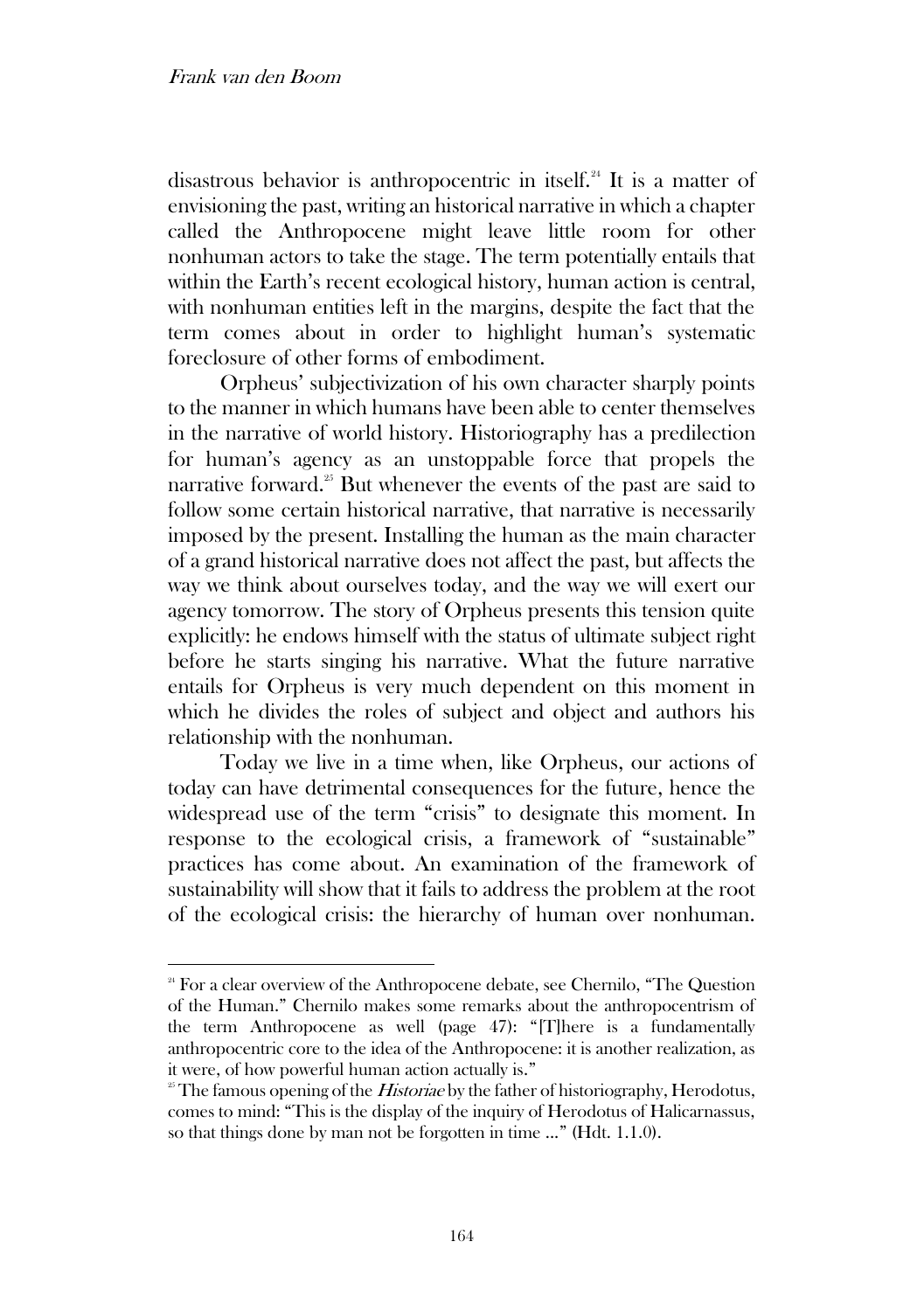disastrous behavior is anthropocentric in itself.<sup>24</sup> It is a matter of envisioning the past, writing an historical narrative in which a chapter called the Anthropocene might leave little room for other nonhuman actors to take the stage. The term potentially entails that within the Earth's recent ecological history, human action is central, with nonhuman entities left in the margins, despite the fact that the term comes about in order to highlight human's systematic foreclosure of other forms of embodiment.

Orpheus' subjectivization of his own character sharply points to the manner in which humans have been able to center themselves in the narrative of world history. Historiography has a predilection for human's agency as an unstoppable force that propels the narrative forward.<sup>25</sup> But whenever the events of the past are said to follow some certain historical narrative, that narrative is necessarily imposed by the present. Installing the human as the main character of a grand historical narrative does not affect the past, but affects the way we think about ourselves today, and the way we will exert our agency tomorrow. The story of Orpheus presents this tension quite explicitly: he endows himself with the status of ultimate subject right before he starts singing his narrative. What the future narrative entails for Orpheus is very much dependent on this moment in which he divides the roles of subject and object and authors his relationship with the nonhuman.

Today we live in a time when, like Orpheus, our actions of today can have detrimental consequences for the future, hence the widespread use of the term "crisis" to designate this moment. In response to the ecological crisis, a framework of "sustainable" practices has come about. An examination of the framework of sustainability will show that it fails to address the problem at the root of the ecological crisis: the hierarchy of human over nonhuman.

<sup>&</sup>lt;sup>24</sup> For a clear overview of the Anthropocene debate, see Chernilo, "The Question" of the Human." Chernilo makes some remarks about the anthropocentrism of the term Anthropocene as well (page 47): "[T]here is a fundamentally anthropocentric core to the idea of the Anthropocene: it is another realization, as it were, of how powerful human action actually is."

<sup>&</sup>lt;sup>25</sup> The famous opening of the *Historiae* by the father of historiography, Herodotus, comes to mind: "This is the display of the inquiry of Herodotus of Halicarnassus, so that things done by man not be forgotten in time ..." (Hdt. 1.1.0).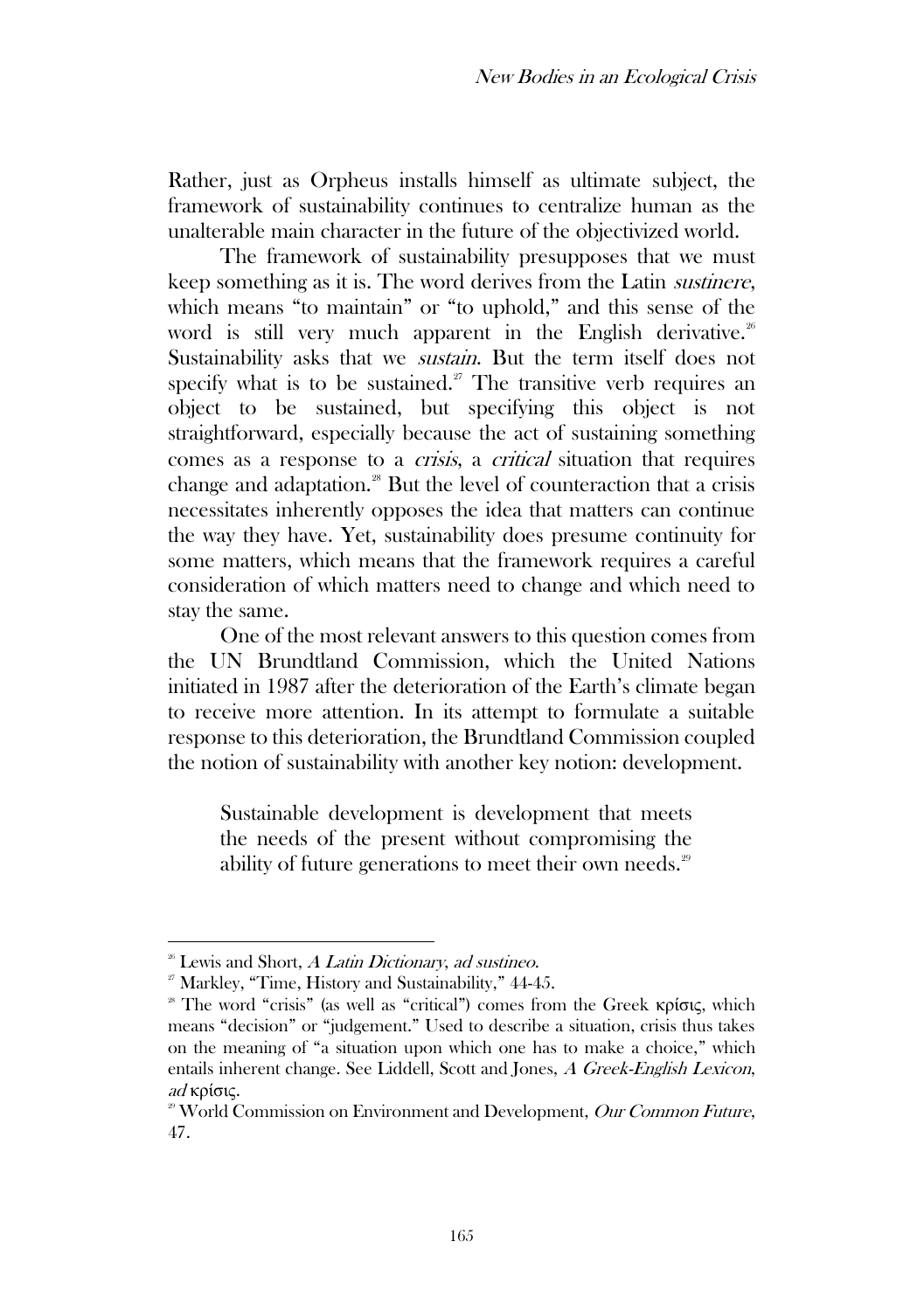Rather, just as Orpheus installs himself as ultimate subject, the framework of sustainability continues to centralize human as the unalterable main character in the future of the objectivized world.

The framework of sustainability presupposes that we must keep something as it is. The word derives from the Latin sustinere, which means "to maintain" or "to uphold," and this sense of the word is still very much apparent in the English derivative.<sup>26</sup> Sustainability asks that we sustain. But the term itself does not specify what is to be sustained. $27$  The transitive verb requires an object to be sustained, but specifying this object is not straightforward, especially because the act of sustaining something comes as a response to a crisis, a critical situation that requires change and adaptation.<sup>28</sup> But the level of counteraction that a crisis necessitates inherently opposes the idea that matters can continue the way they have. Yet, sustainability does presume continuity for some matters, which means that the framework requires a careful consideration of which matters need to change and which need to stay the same.

One of the most relevant answers to this question comes from the UN Brundtland Commission, which the United Nations initiated in 1987 after the deterioration of the Earth's climate began to receive more attention. In its attempt to formulate a suitable response to this deterioration, the Brundtland Commission coupled the notion of sustainability with another key notion: development.

Sustainable development is development that meets the needs of the present without compromising the ability of future generations to meet their own needs.<sup>29</sup>

 $26$ <sup>86</sup> Lewis and Short, A Latin Dictionary, ad sustineo.

 $2^{\circ}$  Markley, "Time, History and Sustainability," 44-45.

<sup>&</sup>lt;sup>28</sup> The word "crisis" (as well as "critical") comes from the Greek κρίσις, which means "decision" or "judgement." Used to describe a situation, crisis thus takes on the meaning of "a situation upon which one has to make a choice," which entails inherent change. See Liddell, Scott and Jones, A Greek-English Lexicon, ad κρίσις.

<sup>&</sup>lt;sup>29</sup> World Commission on Environment and Development, Our Common Future, 47.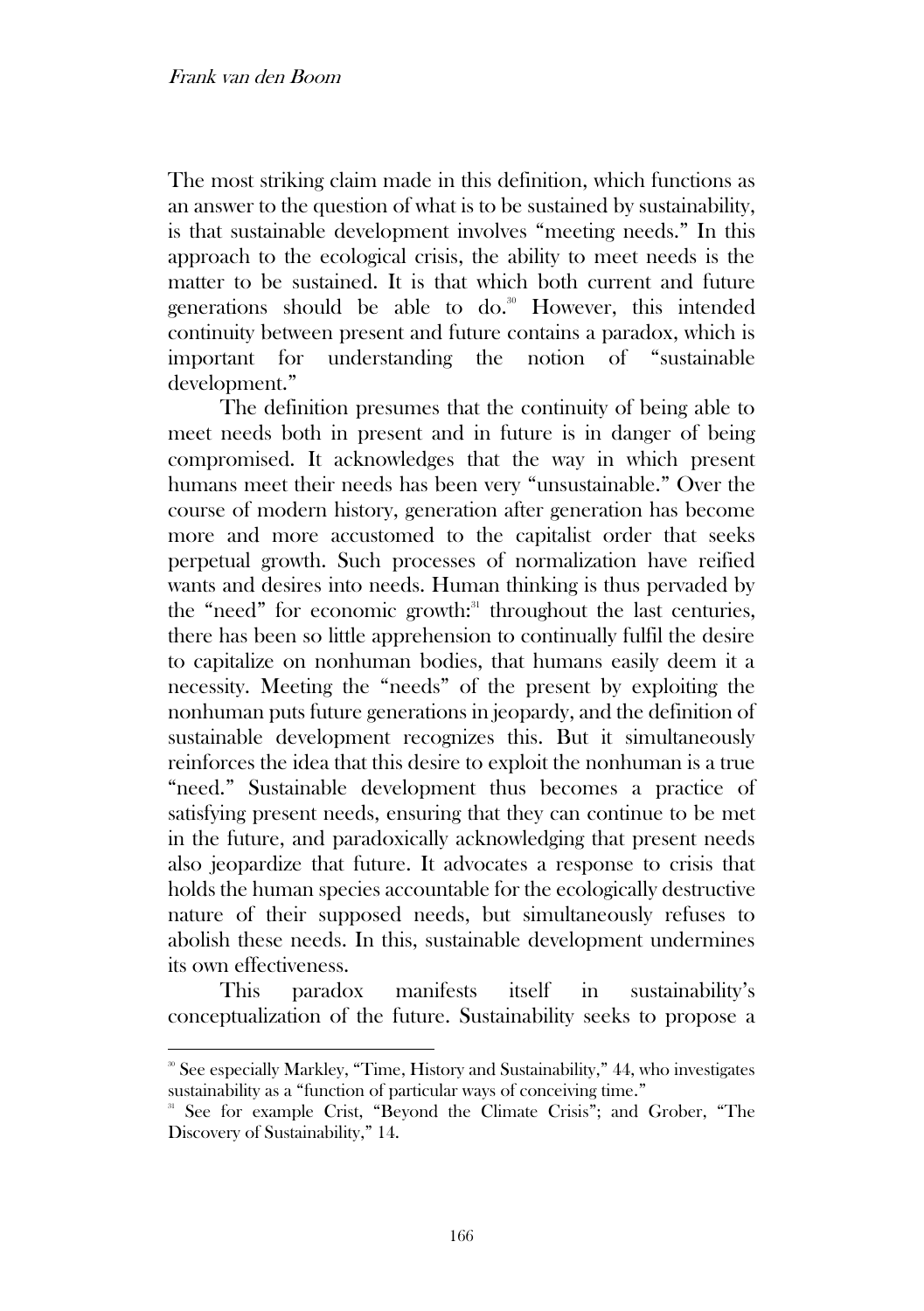The most striking claim made in this definition, which functions as an answer to the question of what is to be sustained by sustainability, is that sustainable development involves "meeting needs." In this approach to the ecological crisis, the ability to meet needs is the matter to be sustained. It is that which both current and future generations should be able to do.<sup>30</sup> However, this intended continuity between present and future contains a paradox, which is important for understanding the notion of "sustainable development."

The definition presumes that the continuity of being able to meet needs both in present and in future is in danger of being compromised. It acknowledges that the way in which present humans meet their needs has been very "unsustainable." Over the course of modern history, generation after generation has become more and more accustomed to the capitalist order that seeks perpetual growth. Such processes of normalization have reified wants and desires into needs. Human thinking is thus pervaded by the "need" for economic growth:<sup>31</sup> throughout the last centuries, there has been so little apprehension to continually fulfil the desire to capitalize on nonhuman bodies, that humans easily deem it a necessity. Meeting the "needs" of the present by exploiting the nonhuman puts future generations in jeopardy, and the definition of sustainable development recognizes this. But it simultaneously reinforces the idea that this desire to exploit the nonhuman is a true "need." Sustainable development thus becomes a practice of satisfying present needs, ensuring that they can continue to be met in the future, and paradoxically acknowledging that present needs also jeopardize that future. It advocates a response to crisis that holds the human species accountable for the ecologically destructive nature of their supposed needs, but simultaneously refuses to abolish these needs. In this, sustainable development undermines its own effectiveness.

This paradox manifests itself in sustainability's conceptualization of the future. Sustainability seeks to propose a

<sup>&</sup>lt;sup>30</sup> See especially Markley, "Time, History and Sustainability," 44, who investigates sustainability as a "function of particular ways of conceiving time."

<sup>&</sup>lt;sup>31</sup> See for example Crist, "Beyond the Climate Crisis"; and Grober, "The Discovery of Sustainability," 14.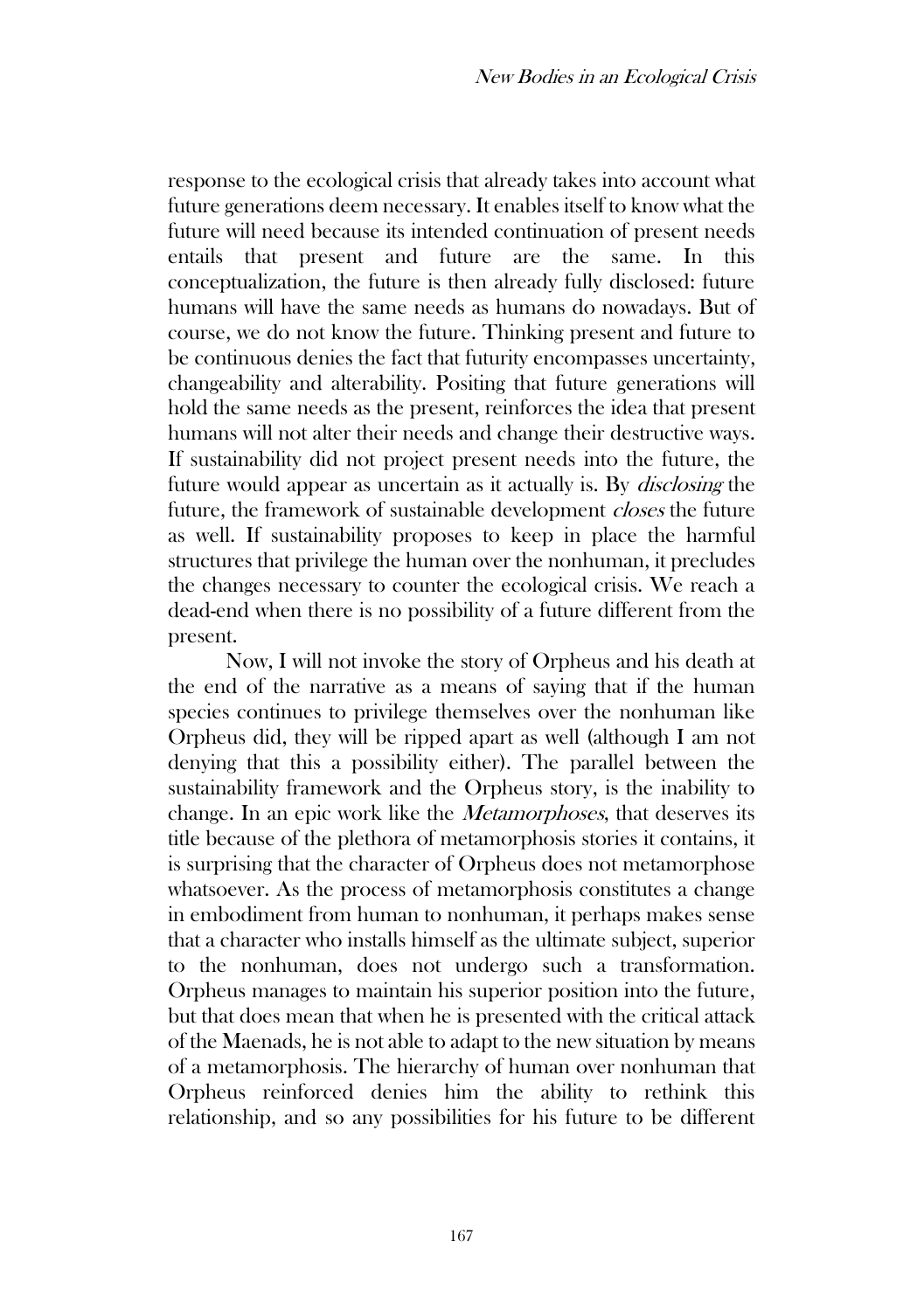response to the ecological crisis that already takes into account what future generations deem necessary. It enables itself to know what the future will need because its intended continuation of present needs entails that present and future are the same. In this conceptualization, the future is then already fully disclosed: future humans will have the same needs as humans do nowadays. But of course, we do not know the future. Thinking present and future to be continuous denies the fact that futurity encompasses uncertainty, changeability and alterability. Positing that future generations will hold the same needs as the present, reinforces the idea that present humans will not alter their needs and change their destructive ways. If sustainability did not project present needs into the future, the future would appear as uncertain as it actually is. By disclosing the future, the framework of sustainable development closes the future as well. If sustainability proposes to keep in place the harmful structures that privilege the human over the nonhuman, it precludes the changes necessary to counter the ecological crisis. We reach a dead-end when there is no possibility of a future different from the present.

Now, I will not invoke the story of Orpheus and his death at the end of the narrative as a means of saying that if the human species continues to privilege themselves over the nonhuman like Orpheus did, they will be ripped apart as well (although I am not denying that this a possibility either). The parallel between the sustainability framework and the Orpheus story, is the inability to change. In an epic work like the Metamorphoses, that deserves its title because of the plethora of metamorphosis stories it contains, it is surprising that the character of Orpheus does not metamorphose whatsoever. As the process of metamorphosis constitutes a change in embodiment from human to nonhuman, it perhaps makes sense that a character who installs himself as the ultimate subject, superior to the nonhuman, does not undergo such a transformation. Orpheus manages to maintain his superior position into the future, but that does mean that when he is presented with the critical attack of the Maenads, he is not able to adapt to the new situation by means of a metamorphosis. The hierarchy of human over nonhuman that Orpheus reinforced denies him the ability to rethink this relationship, and so any possibilities for his future to be different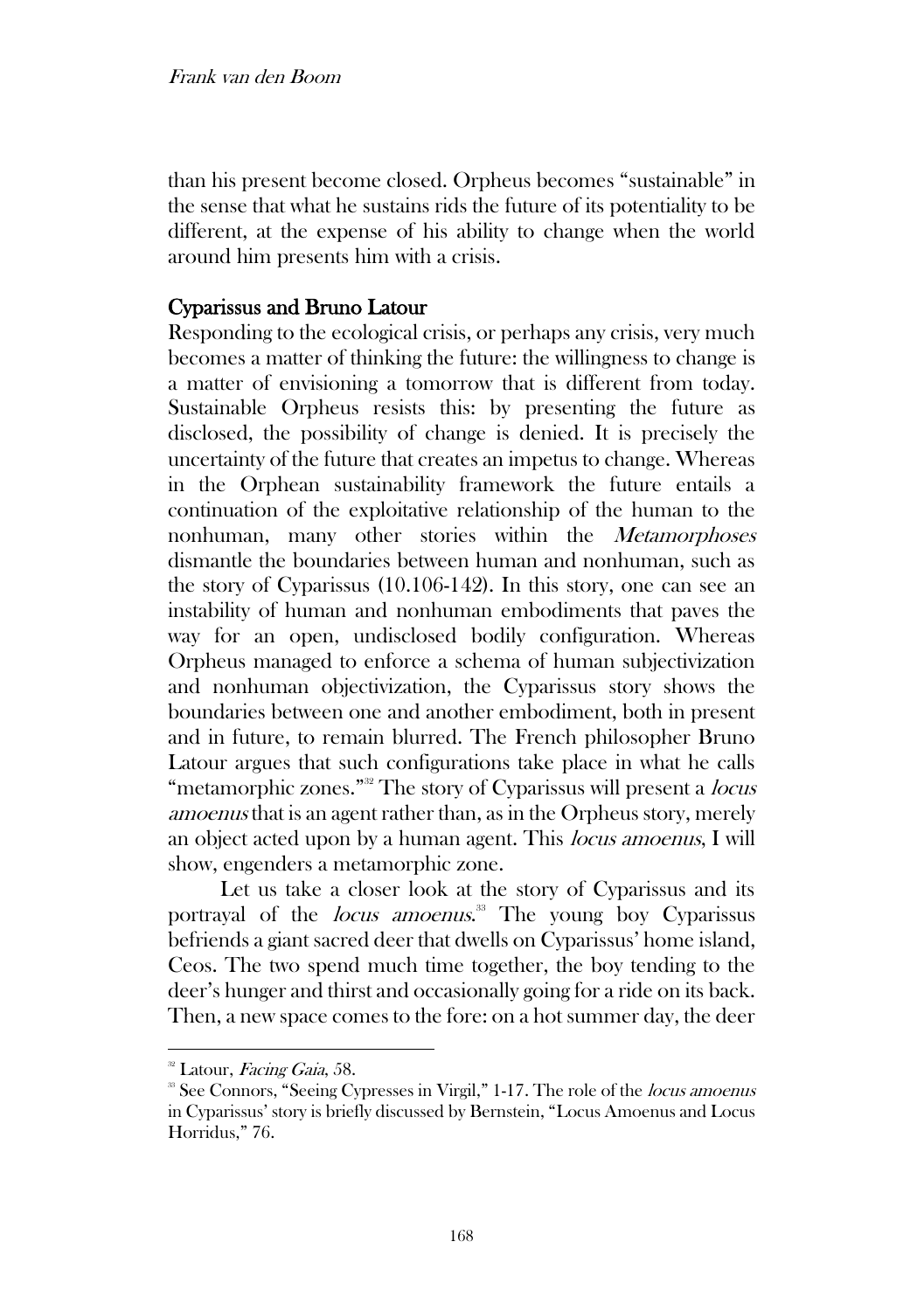than his present become closed. Orpheus becomes "sustainable" in the sense that what he sustains rids the future of its potentiality to be different, at the expense of his ability to change when the world around him presents him with a crisis.

## Cyparissus and Bruno Latour

Responding to the ecological crisis, or perhaps any crisis, very much becomes a matter of thinking the future: the willingness to change is a matter of envisioning a tomorrow that is different from today. Sustainable Orpheus resists this: by presenting the future as disclosed, the possibility of change is denied. It is precisely the uncertainty of the future that creates an impetus to change. Whereas in the Orphean sustainability framework the future entails a continuation of the exploitative relationship of the human to the nonhuman, many other stories within the Metamorphoses dismantle the boundaries between human and nonhuman, such as the story of Cyparissus (10.106-142). In this story, one can see an instability of human and nonhuman embodiments that paves the way for an open, undisclosed bodily configuration. Whereas Orpheus managed to enforce a schema of human subjectivization and nonhuman objectivization, the Cyparissus story shows the boundaries between one and another embodiment, both in present and in future, to remain blurred. The French philosopher Bruno Latour argues that such configurations take place in what he calls "metamorphic zones."<sup>32</sup> The story of Cyparissus will present a *locus* amoenus that is an agent rather than, as in the Orpheus story, merely an object acted upon by a human agent. This locus amoenus, I will show, engenders a metamorphic zone.

Let us take a closer look at the story of Cyparissus and its portrayal of the *locus amoenus*.<sup>33</sup> The young boy Cyparissus befriends a giant sacred deer that dwells on Cyparissus' home island, Ceos. The two spend much time together, the boy tending to the deer's hunger and thirst and occasionally going for a ride on its back. Then, a new space comes to the fore: on a hot summer day, the deer

<sup>&</sup>lt;sup>32</sup> Latour, Facing Gaia, 58.

<sup>&</sup>lt;sup>33</sup> See Connors, "Seeing Cypresses in Virgil," 1-17. The role of the *locus amoenus* in Cyparissus' story is briefly discussed by Bernstein, "Locus Amoenus and Locus Horridus," 76.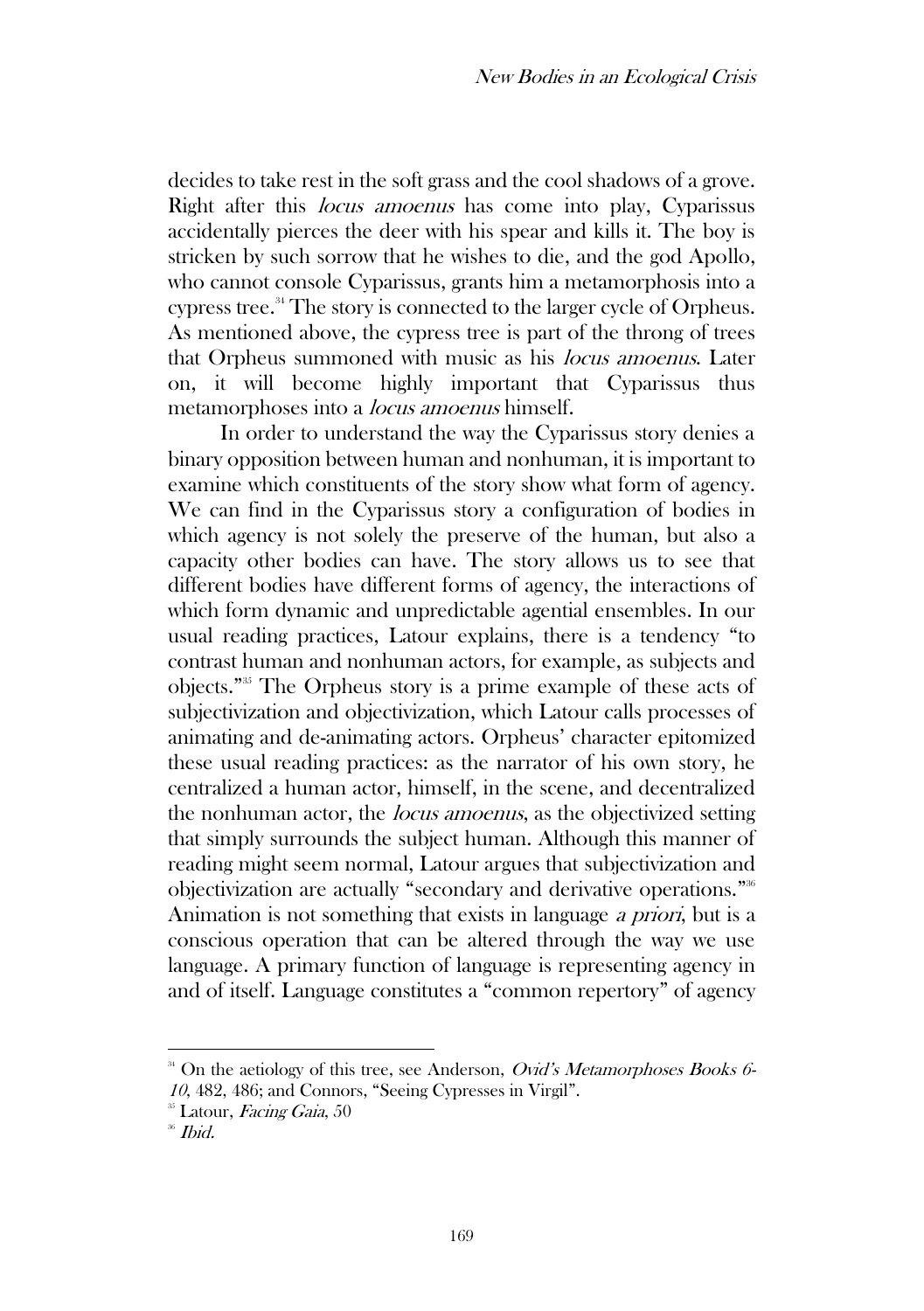decides to take rest in the soft grass and the cool shadows of a grove. Right after this locus amoenus has come into play, Cyparissus accidentally pierces the deer with his spear and kills it. The boy is stricken by such sorrow that he wishes to die, and the god Apollo, who cannot console Cyparissus, grants him a metamorphosis into a cypress tree.<sup>34</sup> The story is connected to the larger cycle of Orpheus. As mentioned above, the cypress tree is part of the throng of trees that Orpheus summoned with music as his locus amoenus. Later on, it will become highly important that Cyparissus thus metamorphoses into a locus amoenus himself.

In order to understand the way the Cyparissus story denies a binary opposition between human and nonhuman, it is important to examine which constituents of the story show what form of agency. We can find in the Cyparissus story a configuration of bodies in which agency is not solely the preserve of the human, but also a capacity other bodies can have. The story allows us to see that different bodies have different forms of agency, the interactions of which form dynamic and unpredictable agential ensembles. In our usual reading practices, Latour explains, there is a tendency "to contrast human and nonhuman actors, for example, as subjects and objects." <sup>35</sup> The Orpheus story is a prime example of these acts of subjectivization and objectivization, which Latour calls processes of animating and de-animating actors. Orpheus' character epitomized these usual reading practices: as the narrator of his own story, he centralized a human actor, himself, in the scene, and decentralized the nonhuman actor, the *locus amoenus*, as the objectivized setting that simply surrounds the subject human. Although this manner of reading might seem normal, Latour argues that subjectivization and objectivization are actually "secondary and derivative operations." 36 Animation is not something that exists in language a priori, but is a conscious operation that can be altered through the way we use language. A primary function of language is representing agency in and of itself. Language constitutes a "common repertory" of agency

 $34$  On the aetiology of this tree, see Anderson, *Ovid's Metamorphoses Books 6*-<sup>10</sup>, 482, 486; and Connors, "Seeing Cypresses in Virgil".

<sup>&</sup>lt;sup>35</sup> Latour, Facing Gaia, 50

<sup>36</sup> Ibid.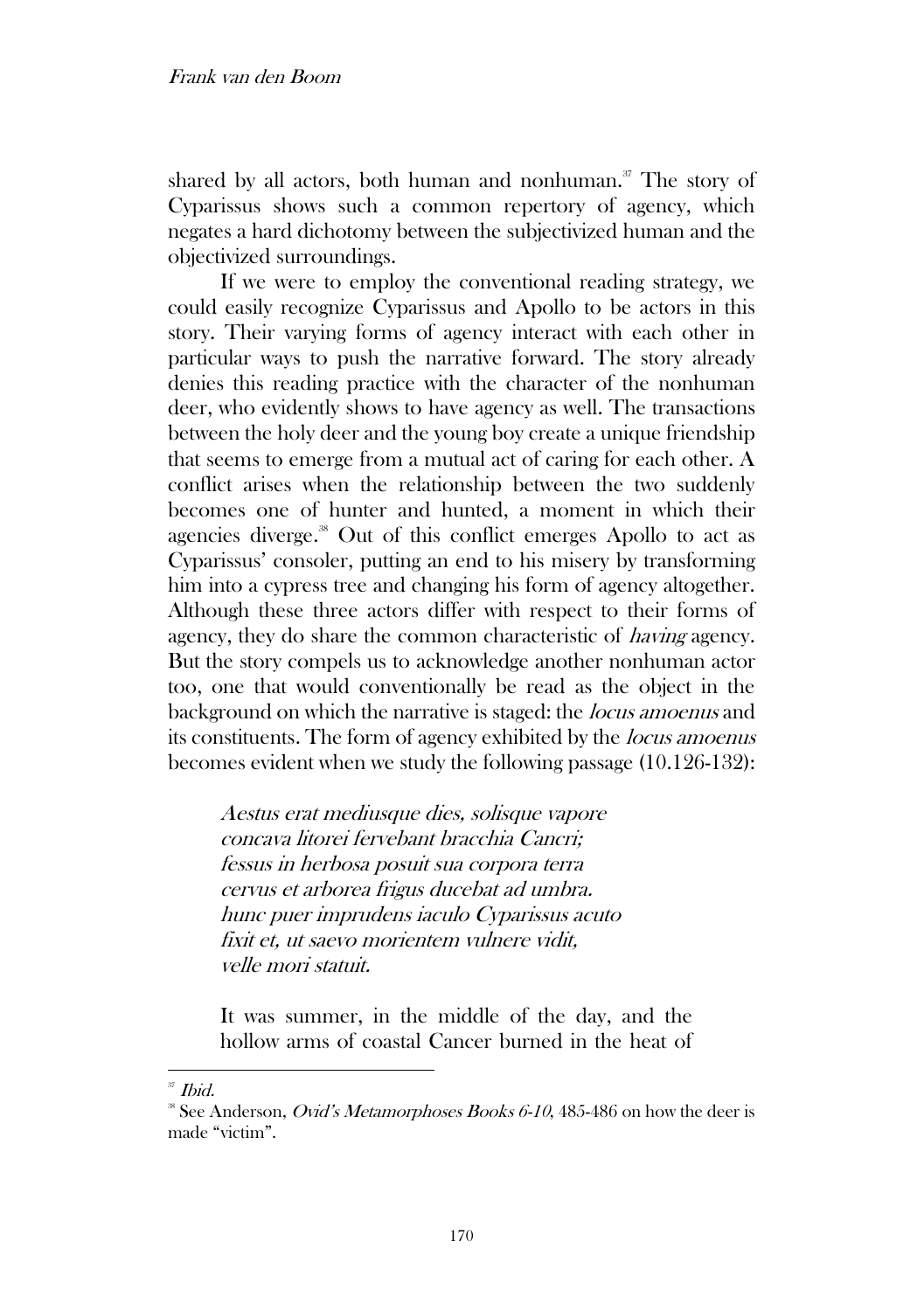shared by all actors, both human and nonhuman.<sup>37</sup> The story of Cyparissus shows such a common repertory of agency, which negates a hard dichotomy between the subjectivized human and the objectivized surroundings.

If we were to employ the conventional reading strategy, we could easily recognize Cyparissus and Apollo to be actors in this story. Their varying forms of agency interact with each other in particular ways to push the narrative forward. The story already denies this reading practice with the character of the nonhuman deer, who evidently shows to have agency as well. The transactions between the holy deer and the young boy create a unique friendship that seems to emerge from a mutual act of caring for each other. A conflict arises when the relationship between the two suddenly becomes one of hunter and hunted, a moment in which their agencies diverge.<sup>38</sup> Out of this conflict emerges Apollo to act as Cyparissus' consoler, putting an end to his misery by transforming him into a cypress tree and changing his form of agency altogether. Although these three actors differ with respect to their forms of agency, they do share the common characteristic of having agency. But the story compels us to acknowledge another nonhuman actor too, one that would conventionally be read as the object in the background on which the narrative is staged: the locus amoenus and its constituents. The form of agency exhibited by the locus amoenus becomes evident when we study the following passage (10.126-132):

Aestus erat mediusque dies, solisque vapore concava litorei fervebant bracchia Cancri; fessus in herbosa posuit sua corpora terra cervus et arborea frigus ducebat ad umbra. hunc puer imprudens iaculo Cyparissus acuto fixit et, ut saevo morientem vulnere vidit, velle mori statuit.

It was summer, in the middle of the day, and the hollow arms of coastal Cancer burned in the heat of

 $37$  *Ibid.* 

 $\degree$  See Anderson, *Ovid's Metamorphoses Books 6-10*, 485-486 on how the deer is made "victim".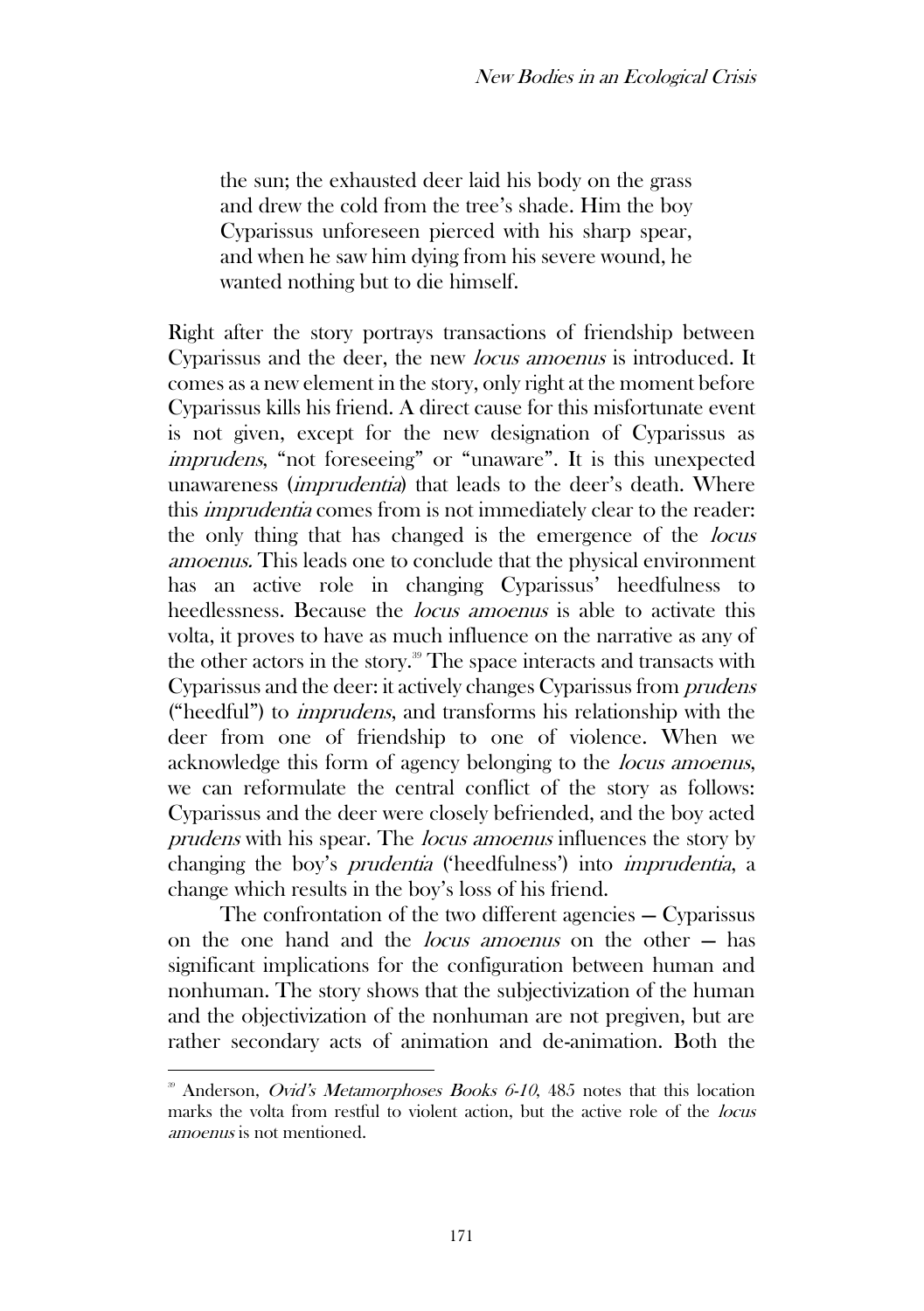the sun; the exhausted deer laid his body on the grass and drew the cold from the tree's shade. Him the boy Cyparissus unforeseen pierced with his sharp spear, and when he saw him dying from his severe wound, he wanted nothing but to die himself.

Right after the story portrays transactions of friendship between Cyparissus and the deer, the new locus amoenus is introduced. It comes as a new element in the story, only right at the moment before Cyparissus kills his friend. A direct cause for this misfortunate event is not given, except for the new designation of Cyparissus as imprudens, "not foreseeing" or "unaware". It is this unexpected unawareness *(imprudentia)* that leads to the deer's death. Where this imprudentia comes from is not immediately clear to the reader: the only thing that has changed is the emergence of the locus amoenus. This leads one to conclude that the physical environment has an active role in changing Cyparissus' heedfulness to heedlessness. Because the *locus amoenus* is able to activate this volta, it proves to have as much influence on the narrative as any of the other actors in the story.<sup>39</sup> The space interacts and transacts with Cyparissus and the deer: it actively changes Cyparissus from prudens ("heedful") to imprudens, and transforms his relationship with the deer from one of friendship to one of violence. When we acknowledge this form of agency belonging to the *locus amoenus*, we can reformulate the central conflict of the story as follows: Cyparissus and the deer were closely befriended, and the boy acted prudens with his spear. The locus amoenus influences the story by changing the boy's prudentia ('heedfulness') into imprudentia, a change which results in the boy's loss of his friend.

The confrontation of the two different agencies — Cyparissus on the one hand and the locus amoenus on the other — has significant implications for the configuration between human and nonhuman. The story shows that the subjectivization of the human and the objectivization of the nonhuman are not pregiven, but are rather secondary acts of animation and de-animation. Both the

 $39$  Anderson, *Ovid's Metamorphoses Books 6-10*, 485 notes that this location marks the volta from restful to violent action, but the active role of the *locus* amoenus is not mentioned.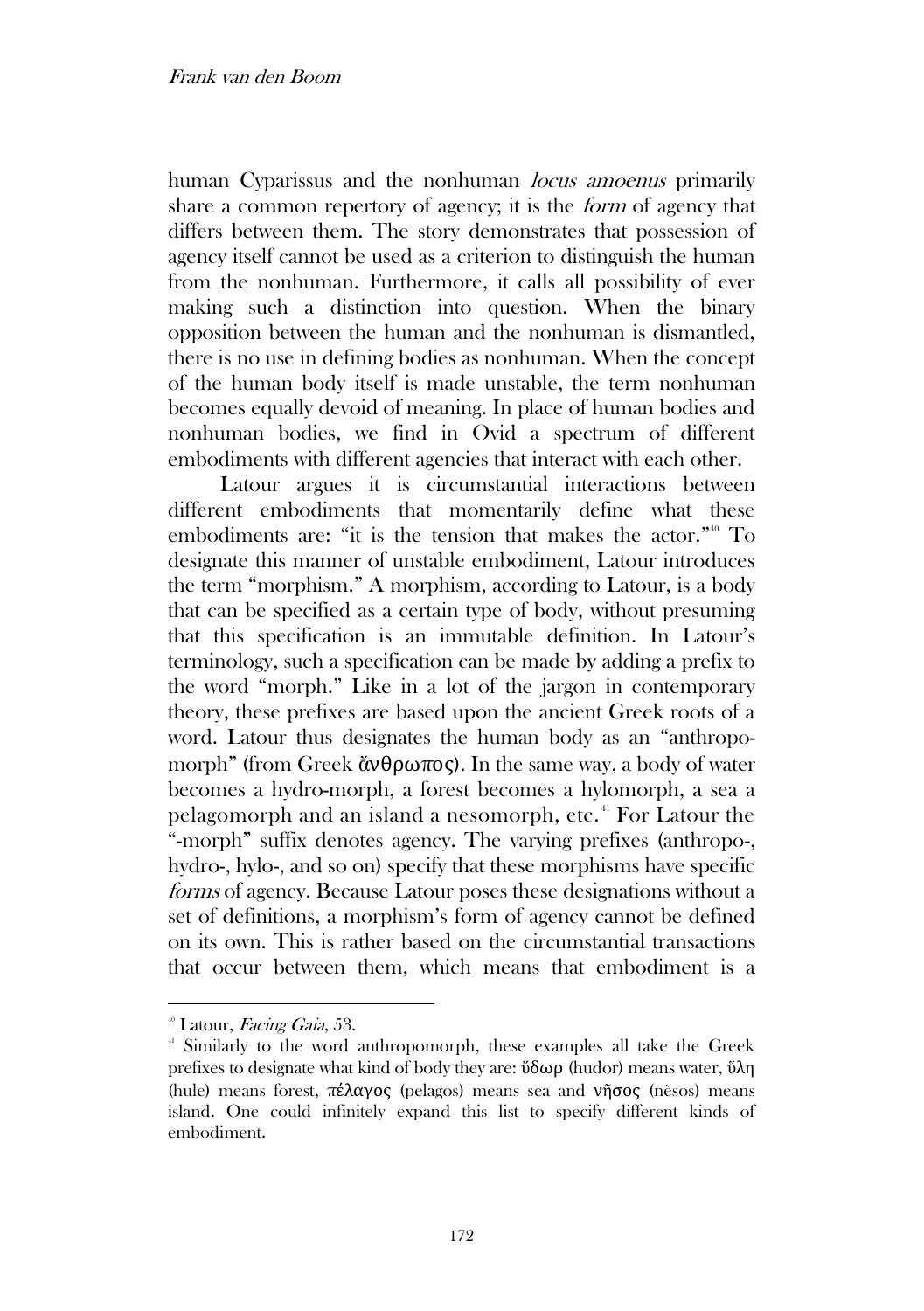human Cyparissus and the nonhuman *locus amoenus* primarily share a common repertory of agency; it is the form of agency that differs between them. The story demonstrates that possession of agency itself cannot be used as a criterion to distinguish the human from the nonhuman. Furthermore, it calls all possibility of ever making such a distinction into question. When the binary opposition between the human and the nonhuman is dismantled, there is no use in defining bodies as nonhuman. When the concept of the human body itself is made unstable, the term nonhuman becomes equally devoid of meaning. In place of human bodies and nonhuman bodies, we find in Ovid a spectrum of different embodiments with different agencies that interact with each other.

Latour argues it is circumstantial interactions between different embodiments that momentarily define what these embodiments are: "it is the tension that makes the actor."<sup>40</sup> To designate this manner of unstable embodiment, Latour introduces the term "morphism." A morphism, according to Latour, is a body that can be specified as a certain type of body, without presuming that this specification is an immutable definition. In Latour's terminology, such a specification can be made by adding a prefix to the word "morph." Like in a lot of the jargon in contemporary theory, these prefixes are based upon the ancient Greek roots of a word. Latour thus designates the human body as an "anthropomorph" (from Greek ἄνθρωπος). In the same way, a body of water becomes a hydro-morph, a forest becomes a hylomorph, a sea a pelagomorph and an island a nesomorph, etc. <sup>41</sup> For Latour the "-morph" suffix denotes agency. The varying prefixes (anthropo-, hydro-, hylo-, and so on) specify that these morphisms have specific forms of agency. Because Latour poses these designations without a set of definitions, a morphism's form of agency cannot be defined on its own. This is rather based on the circumstantial transactions that occur between them, which means that embodiment is a

 $\textsuperscript{40}$  Latour, Facing Gaia, 53.

<sup>&</sup>lt;sup>41</sup> Similarly to the word anthropomorph, these examples all take the Greek prefixes to designate what kind of body they are:  $\delta \delta \omega \rho$  (hudor) means water,  $\delta \lambda \eta$ (hule) means forest, πέλαγος (pelagos) means sea and νῆσος (nèsos) means island. One could infinitely expand this list to specify different kinds of embodiment.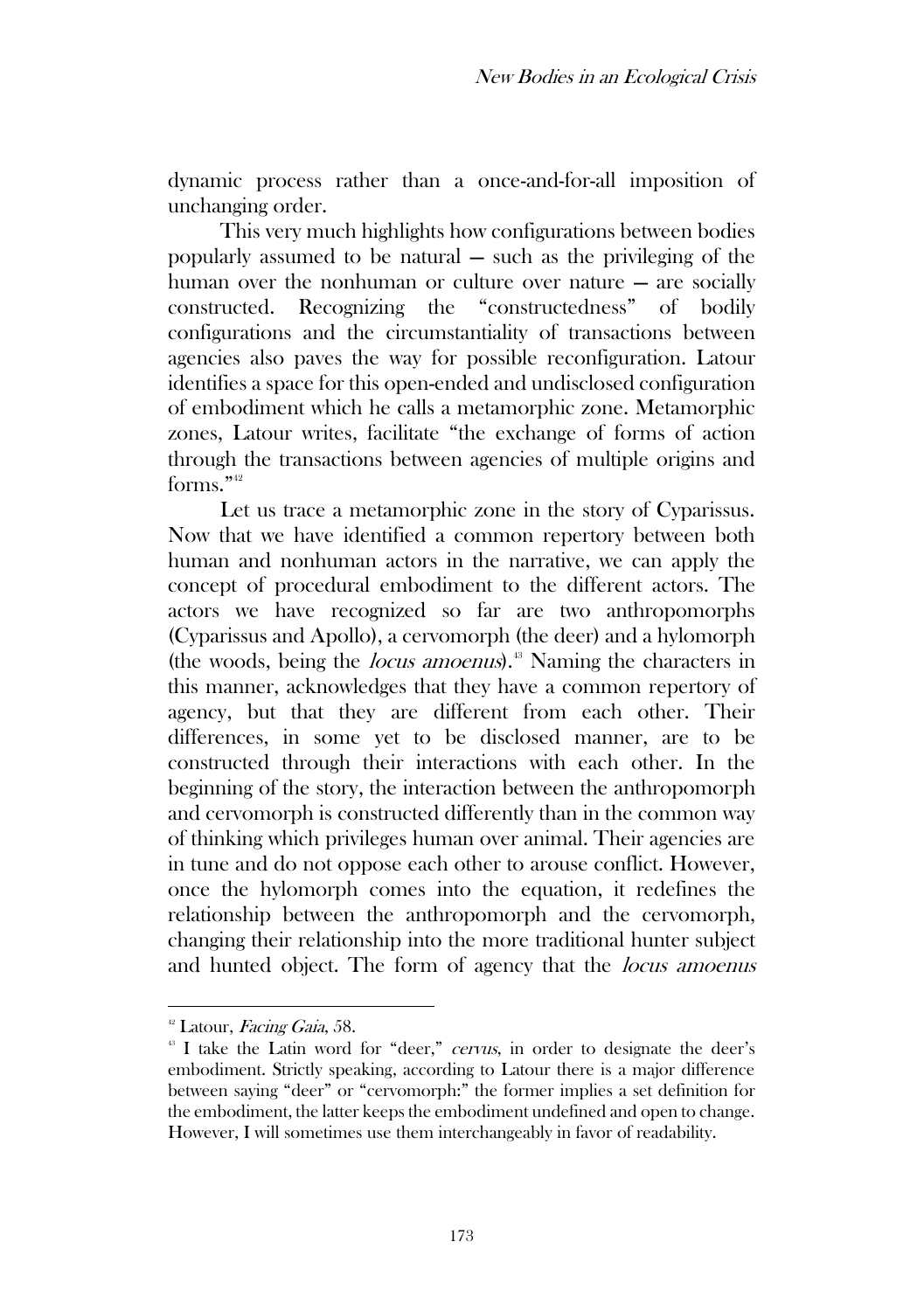dynamic process rather than a once-and-for-all imposition of unchanging order.

This very much highlights how configurations between bodies popularly assumed to be natural — such as the privileging of the human over the nonhuman or culture over nature — are socially constructed. Recognizing the "constructedness" of bodily configurations and the circumstantiality of transactions between agencies also paves the way for possible reconfiguration. Latour identifies a space for this open-ended and undisclosed configuration of embodiment which he calls a metamorphic zone. Metamorphic zones, Latour writes, facilitate "the exchange of forms of action through the transactions between agencies of multiple origins and forms." 42

Let us trace a metamorphic zone in the story of Cyparissus. Now that we have identified a common repertory between both human and nonhuman actors in the narrative, we can apply the concept of procedural embodiment to the different actors. The actors we have recognized so far are two anthropomorphs (Cyparissus and Apollo), a cervomorph (the deer) and a hylomorph (the woods, being the *locus amoenus*).<sup>43</sup> Naming the characters in this manner, acknowledges that they have a common repertory of agency, but that they are different from each other. Their differences, in some yet to be disclosed manner, are to be constructed through their interactions with each other. In the beginning of the story, the interaction between the anthropomorph and cervomorph is constructed differently than in the common way of thinking which privileges human over animal. Their agencies are in tune and do not oppose each other to arouse conflict. However, once the hylomorph comes into the equation, it redefines the relationship between the anthropomorph and the cervomorph, changing their relationship into the more traditional hunter subject and hunted object. The form of agency that the locus amoenus

 $42$  Latour, Facing Gaia, 58.

<sup>&</sup>lt;sup>43</sup> I take the Latin word for "deer," cervus, in order to designate the deer's embodiment. Strictly speaking, according to Latour there is a major difference between saying "deer" or "cervomorph:" the former implies a set definition for the embodiment, the latter keeps the embodiment undefined and open to change. However, I will sometimes use them interchangeably in favor of readability.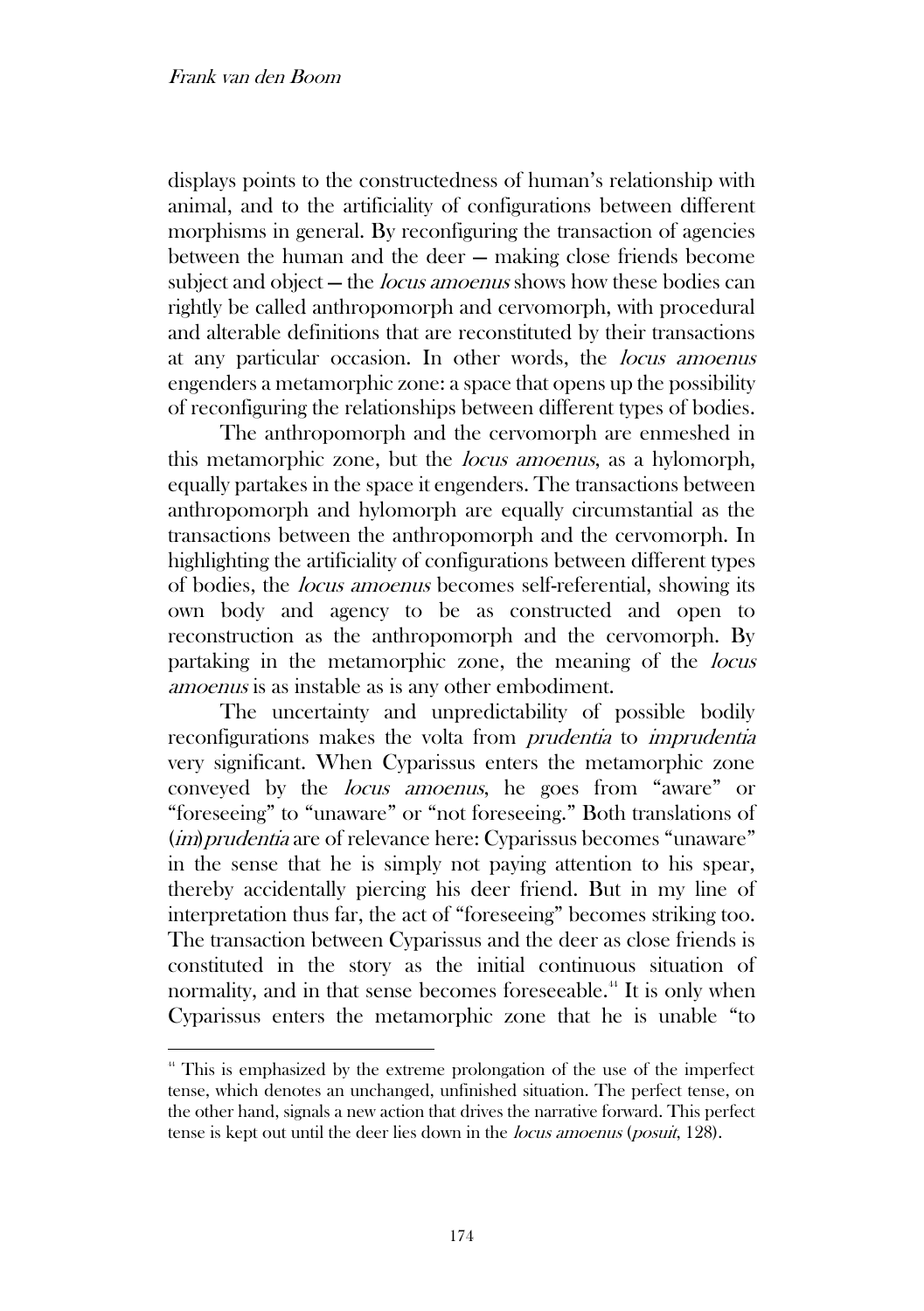displays points to the constructedness of human's relationship with animal, and to the artificiality of configurations between different morphisms in general. By reconfiguring the transaction of agencies between the human and the deer — making close friends become subject and object – the *locus amoenus* shows how these bodies can rightly be called anthropomorph and cervomorph, with procedural and alterable definitions that are reconstituted by their transactions at any particular occasion. In other words, the locus amoenus engenders a metamorphic zone: a space that opens up the possibility of reconfiguring the relationships between different types of bodies.

The anthropomorph and the cervomorph are enmeshed in this metamorphic zone, but the locus amoenus, as a hylomorph, equally partakes in the space it engenders. The transactions between anthropomorph and hylomorph are equally circumstantial as the transactions between the anthropomorph and the cervomorph. In highlighting the artificiality of configurations between different types of bodies, the locus amoenus becomes self-referential, showing its own body and agency to be as constructed and open to reconstruction as the anthropomorph and the cervomorph. By partaking in the metamorphic zone, the meaning of the locus amoenus is as instable as is any other embodiment.

The uncertainty and unpredictability of possible bodily reconfigurations makes the volta from prudentia to imprudentia very significant. When Cyparissus enters the metamorphic zone conveyed by the locus amoenus, he goes from "aware" or "foreseeing" to "unaware" or "not foreseeing." Both translations of (*im*) prudentia are of relevance here: Cyparissus becomes "unaware" in the sense that he is simply not paying attention to his spear, thereby accidentally piercing his deer friend. But in my line of interpretation thus far, the act of "foreseeing" becomes striking too. The transaction between Cyparissus and the deer as close friends is constituted in the story as the initial continuous situation of normality, and in that sense becomes foreseeable.<sup>44</sup> It is only when Cyparissus enters the metamorphic zone that he is unable "to

<sup>&</sup>lt;sup>44</sup> This is emphasized by the extreme prolongation of the use of the imperfect tense, which denotes an unchanged, unfinished situation. The perfect tense, on the other hand, signals a new action that drives the narrative forward. This perfect tense is kept out until the deer lies down in the locus amoenus (posuit, 128).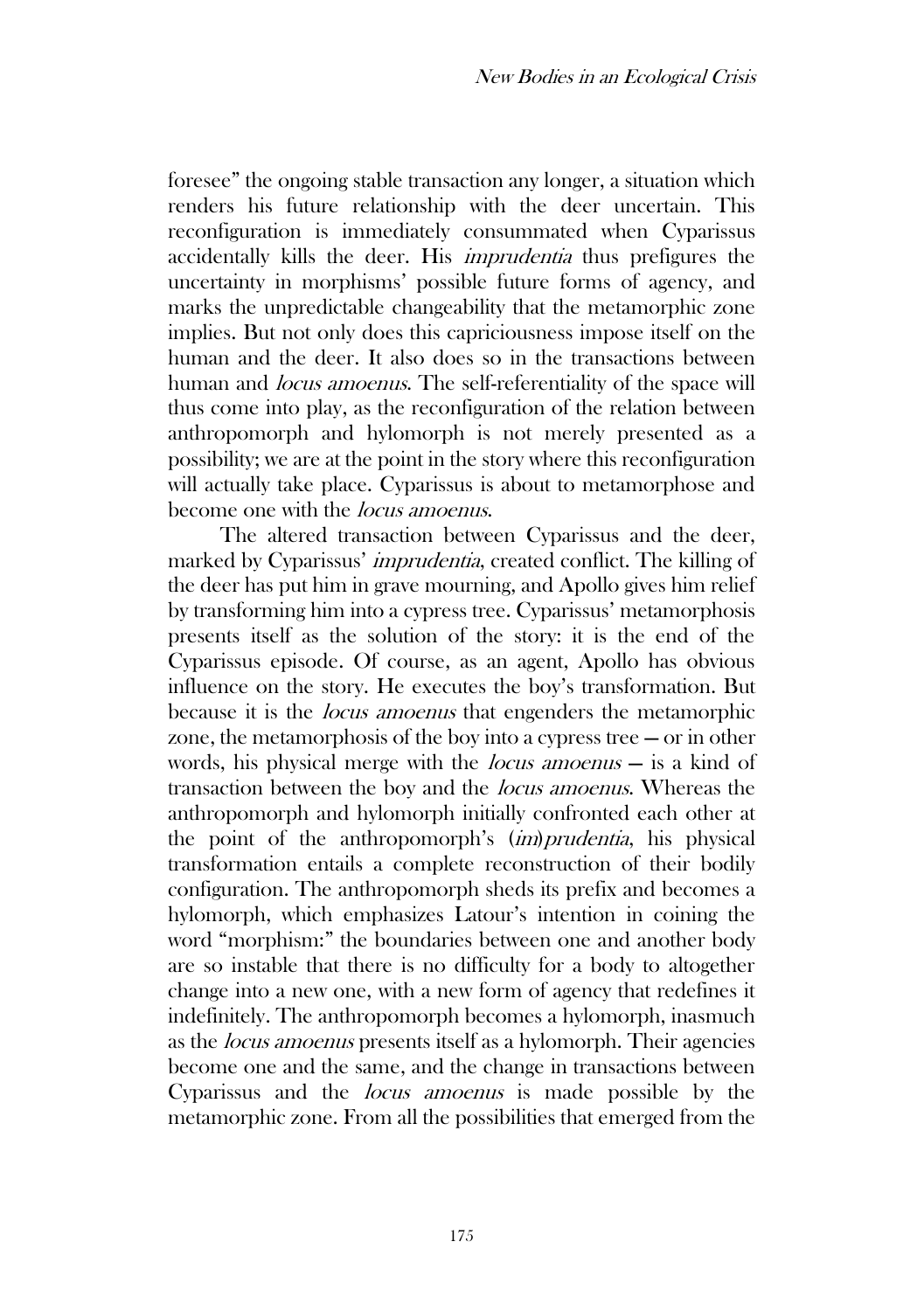foresee" the ongoing stable transaction any longer, a situation which renders his future relationship with the deer uncertain. This reconfiguration is immediately consummated when Cyparissus accidentally kills the deer. His imprudentia thus prefigures the uncertainty in morphisms' possible future forms of agency, and marks the unpredictable changeability that the metamorphic zone implies. But not only does this capriciousness impose itself on the human and the deer. It also does so in the transactions between human and *locus amoenus*. The self-referentiality of the space will thus come into play, as the reconfiguration of the relation between anthropomorph and hylomorph is not merely presented as a possibility; we are at the point in the story where this reconfiguration will actually take place. Cyparissus is about to metamorphose and become one with the locus amoenus.

The altered transaction between Cyparissus and the deer, marked by Cyparissus' imprudentia, created conflict. The killing of the deer has put him in grave mourning, and Apollo gives him relief by transforming him into a cypress tree. Cyparissus' metamorphosis presents itself as the solution of the story: it is the end of the Cyparissus episode. Of course, as an agent, Apollo has obvious influence on the story. He executes the boy's transformation. But because it is the locus amoenus that engenders the metamorphic zone, the metamorphosis of the boy into a cypress tree — or in other words, his physical merge with the locus amoenus — is a kind of transaction between the boy and the locus amoenus. Whereas the anthropomorph and hylomorph initially confronted each other at the point of the anthropomorph's (im)prudentia, his physical transformation entails a complete reconstruction of their bodily configuration. The anthropomorph sheds its prefix and becomes a hylomorph, which emphasizes Latour's intention in coining the word "morphism:" the boundaries between one and another body are so instable that there is no difficulty for a body to altogether change into a new one, with a new form of agency that redefines it indefinitely. The anthropomorph becomes a hylomorph, inasmuch as the locus amoenus presents itself as a hylomorph. Their agencies become one and the same, and the change in transactions between Cyparissus and the locus amoenus is made possible by the metamorphic zone. From all the possibilities that emerged from the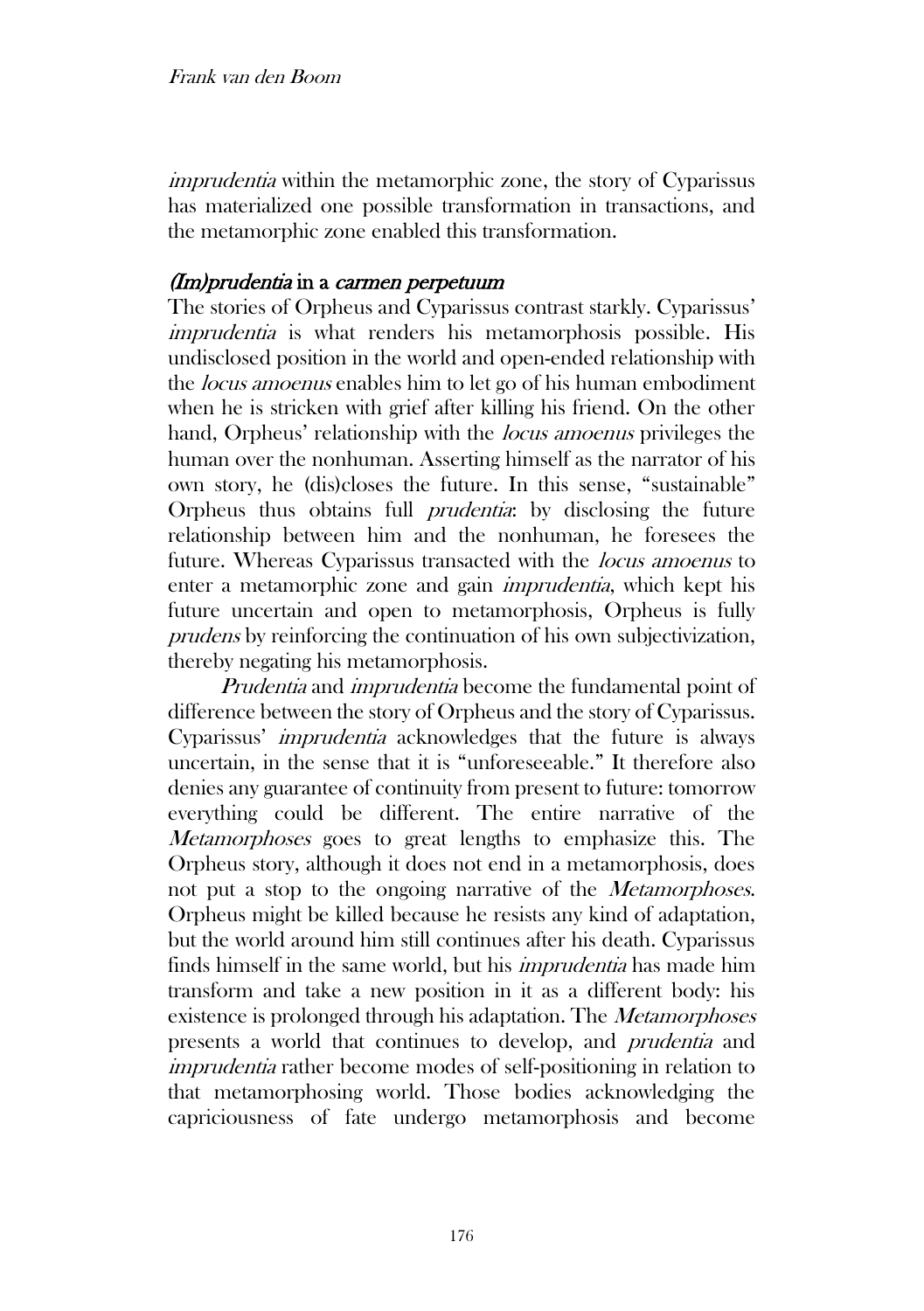imprudentia within the metamorphic zone, the story of Cyparissus has materialized one possible transformation in transactions, and the metamorphic zone enabled this transformation.

### (Im)prudentia in a carmen perpetuum

The stories of Orpheus and Cyparissus contrast starkly. Cyparissus' imprudentia is what renders his metamorphosis possible. His undisclosed position in the world and open-ended relationship with the locus amoenus enables him to let go of his human embodiment when he is stricken with grief after killing his friend. On the other hand, Orpheus' relationship with the *locus amoenus* privileges the human over the nonhuman. Asserting himself as the narrator of his own story, he (dis)closes the future. In this sense, "sustainable" Orpheus thus obtains full prudentia: by disclosing the future relationship between him and the nonhuman, he foresees the future. Whereas Cyparissus transacted with the locus amoenus to enter a metamorphic zone and gain imprudentia, which kept his future uncertain and open to metamorphosis, Orpheus is fully prudens by reinforcing the continuation of his own subjectivization, thereby negating his metamorphosis.

Prudentia and *imprudentia* become the fundamental point of difference between the story of Orpheus and the story of Cyparissus. Cyparissus' imprudentia acknowledges that the future is always uncertain, in the sense that it is "unforeseeable." It therefore also denies any guarantee of continuity from present to future: tomorrow everything could be different. The entire narrative of the Metamorphoses goes to great lengths to emphasize this. The Orpheus story, although it does not end in a metamorphosis, does not put a stop to the ongoing narrative of the *Metamorphoses*. Orpheus might be killed because he resists any kind of adaptation, but the world around him still continues after his death. Cyparissus finds himself in the same world, but his imprudentia has made him transform and take a new position in it as a different body: his existence is prolonged through his adaptation. The *Metamorphoses* presents a world that continues to develop, and prudentia and imprudentia rather become modes of self-positioning in relation to that metamorphosing world. Those bodies acknowledging the capriciousness of fate undergo metamorphosis and become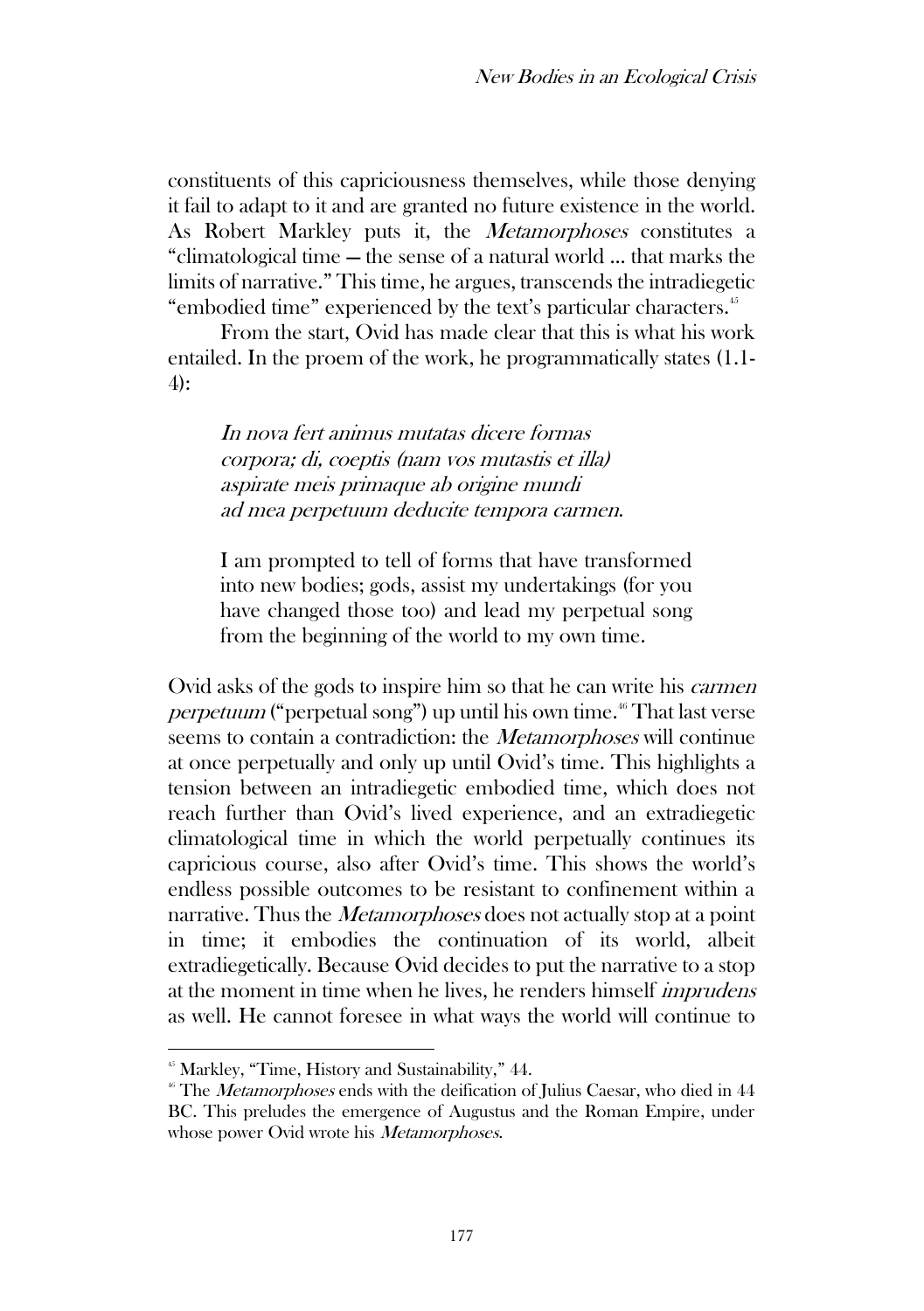constituents of this capriciousness themselves, while those denying it fail to adapt to it and are granted no future existence in the world. As Robert Markley puts it, the *Metamorphoses* constitutes a "climatological time — the sense of a natural world ... that marks the limits of narrative." This time, he argues, transcends the intradiegetic "embodied time" experienced by the text's particular characters.<sup>45</sup>

From the start, Ovid has made clear that this is what his work entailed. In the proem of the work, he programmatically states (1.1- 4):

In nova fert animus mutatas dicere formas corpora; di, coeptis (nam vos mutastis et illa) aspirate meis primaque ab origine mundi ad mea perpetuum deducite tempora carmen.

I am prompted to tell of forms that have transformed into new bodies; gods, assist my undertakings (for you have changed those too) and lead my perpetual song from the beginning of the world to my own time.

Ovid asks of the gods to inspire him so that he can write his carmen *perpetuum* ("perpetual song") up until his own time.<sup>46</sup> That last verse seems to contain a contradiction: the *Metamorphoses* will continue at once perpetually and only up until Ovid's time. This highlights a tension between an intradiegetic embodied time, which does not reach further than Ovid's lived experience, and an extradiegetic climatological time in which the world perpetually continues its capricious course, also after Ovid's time. This shows the world's endless possible outcomes to be resistant to confinement within a narrative. Thus the *Metamorphoses* does not actually stop at a point in time; it embodies the continuation of its world, albeit extradiegetically. Because Ovid decides to put the narrative to a stop at the moment in time when he lives, he renders himself imprudens as well. He cannot foresee in what ways the world will continue to

<sup>&</sup>lt;sup>45</sup> Markley, "Time, History and Sustainability," 44.

 $46$  The *Metamorphoses* ends with the deification of Julius Caesar, who died in 44 BC. This preludes the emergence of Augustus and the Roman Empire, under whose power Ovid wrote his *Metamorphoses*.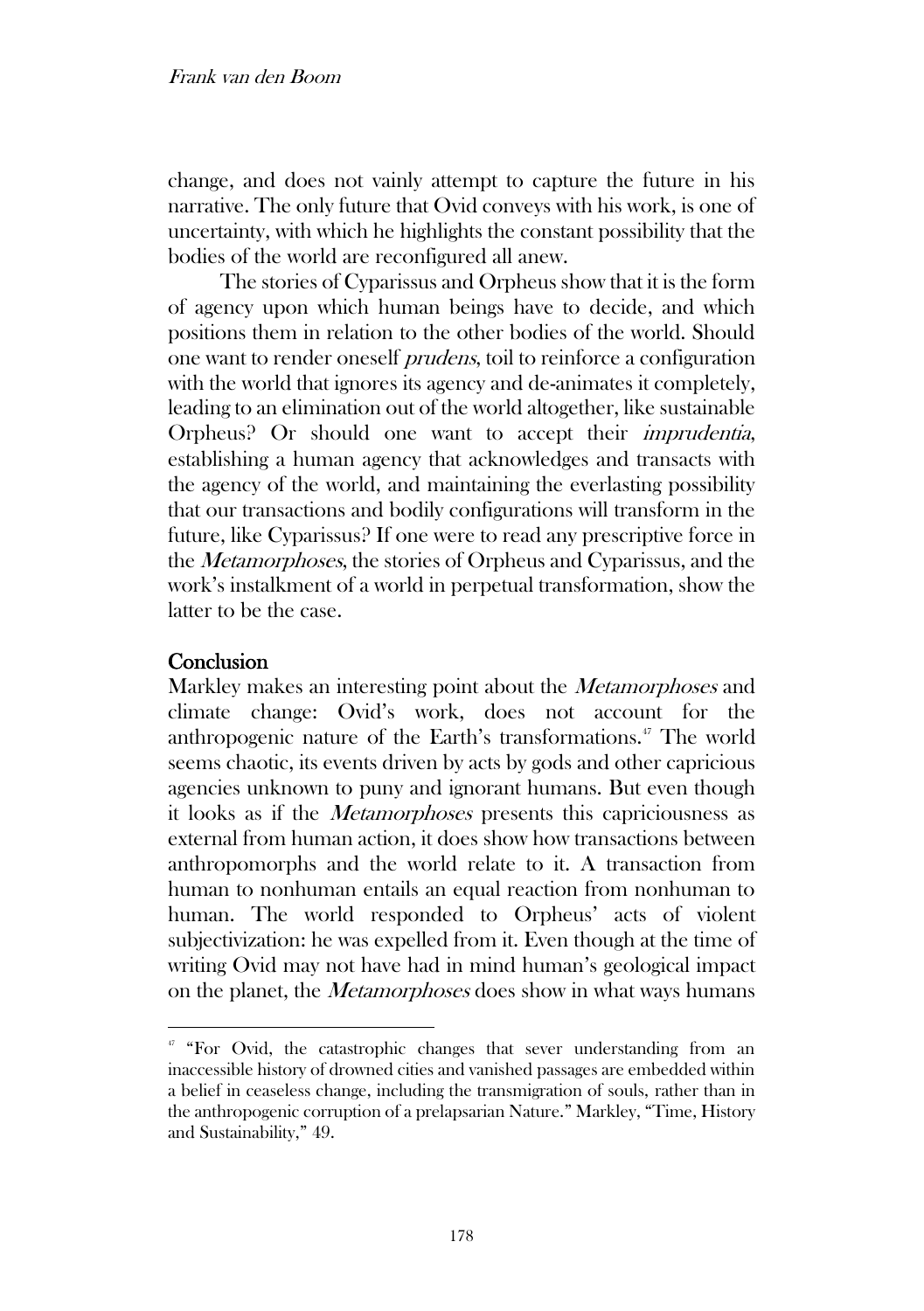change, and does not vainly attempt to capture the future in his narrative. The only future that Ovid conveys with his work, is one of uncertainty, with which he highlights the constant possibility that the bodies of the world are reconfigured all anew.

The stories of Cyparissus and Orpheus show that it is the form of agency upon which human beings have to decide, and which positions them in relation to the other bodies of the world. Should one want to render oneself prudens, toil to reinforce a configuration with the world that ignores its agency and de-animates it completely, leading to an elimination out of the world altogether, like sustainable Orpheus? Or should one want to accept their imprudentia, establishing a human agency that acknowledges and transacts with the agency of the world, and maintaining the everlasting possibility that our transactions and bodily configurations will transform in the future, like Cyparissus? If one were to read any prescriptive force in the Metamorphoses, the stories of Orpheus and Cyparissus, and the work's instalkment of a world in perpetual transformation, show the latter to be the case.

### **Conclusion**

Markley makes an interesting point about the *Metamorphoses* and climate change: Ovid's work, does not account for the anthropogenic nature of the Earth's transformations.<sup>47</sup> The world seems chaotic, its events driven by acts by gods and other capricious agencies unknown to puny and ignorant humans. But even though it looks as if the Metamorphoses presents this capriciousness as external from human action, it does show how transactions between anthropomorphs and the world relate to it. A transaction from human to nonhuman entails an equal reaction from nonhuman to human. The world responded to Orpheus' acts of violent subjectivization: he was expelled from it. Even though at the time of writing Ovid may not have had in mind human's geological impact on the planet, the *Metamorphoses* does show in what ways humans

<sup>&</sup>lt;sup>47</sup> "For Ovid, the catastrophic changes that sever understanding from an inaccessible history of drowned cities and vanished passages are embedded within a belief in ceaseless change, including the transmigration of souls, rather than in the anthropogenic corruption of a prelapsarian Nature." Markley, "Time, History and Sustainability," 49.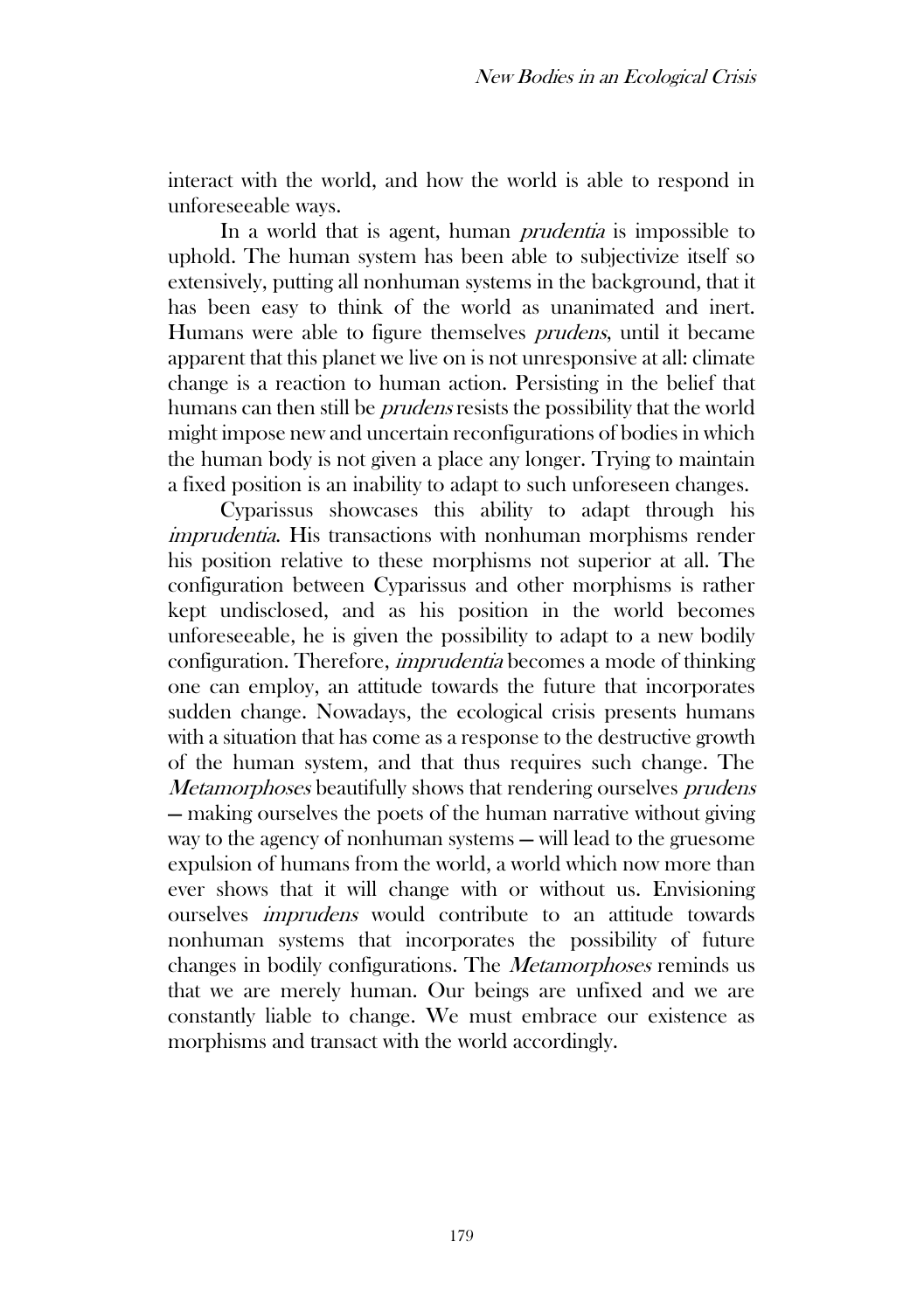interact with the world, and how the world is able to respond in unforeseeable ways.

In a world that is agent, human *prudentia* is impossible to uphold. The human system has been able to subjectivize itself so extensively, putting all nonhuman systems in the background, that it has been easy to think of the world as unanimated and inert. Humans were able to figure themselves prudens, until it became apparent that this planet we live on is not unresponsive at all: climate change is a reaction to human action. Persisting in the belief that humans can then still be *prudens* resists the possibility that the world might impose new and uncertain reconfigurations of bodies in which the human body is not given a place any longer. Trying to maintain a fixed position is an inability to adapt to such unforeseen changes.

Cyparissus showcases this ability to adapt through his imprudentia. His transactions with nonhuman morphisms render his position relative to these morphisms not superior at all. The configuration between Cyparissus and other morphisms is rather kept undisclosed, and as his position in the world becomes unforeseeable, he is given the possibility to adapt to a new bodily configuration. Therefore, imprudentia becomes a mode of thinking one can employ, an attitude towards the future that incorporates sudden change. Nowadays, the ecological crisis presents humans with a situation that has come as a response to the destructive growth of the human system, and that thus requires such change. The Metamorphoses beautifully shows that rendering ourselves prudens — making ourselves the poets of the human narrative without giving way to the agency of nonhuman systems — will lead to the gruesome expulsion of humans from the world, a world which now more than ever shows that it will change with or without us. Envisioning ourselves imprudens would contribute to an attitude towards nonhuman systems that incorporates the possibility of future changes in bodily configurations. The Metamorphoses reminds us that we are merely human. Our beings are unfixed and we are constantly liable to change. We must embrace our existence as morphisms and transact with the world accordingly.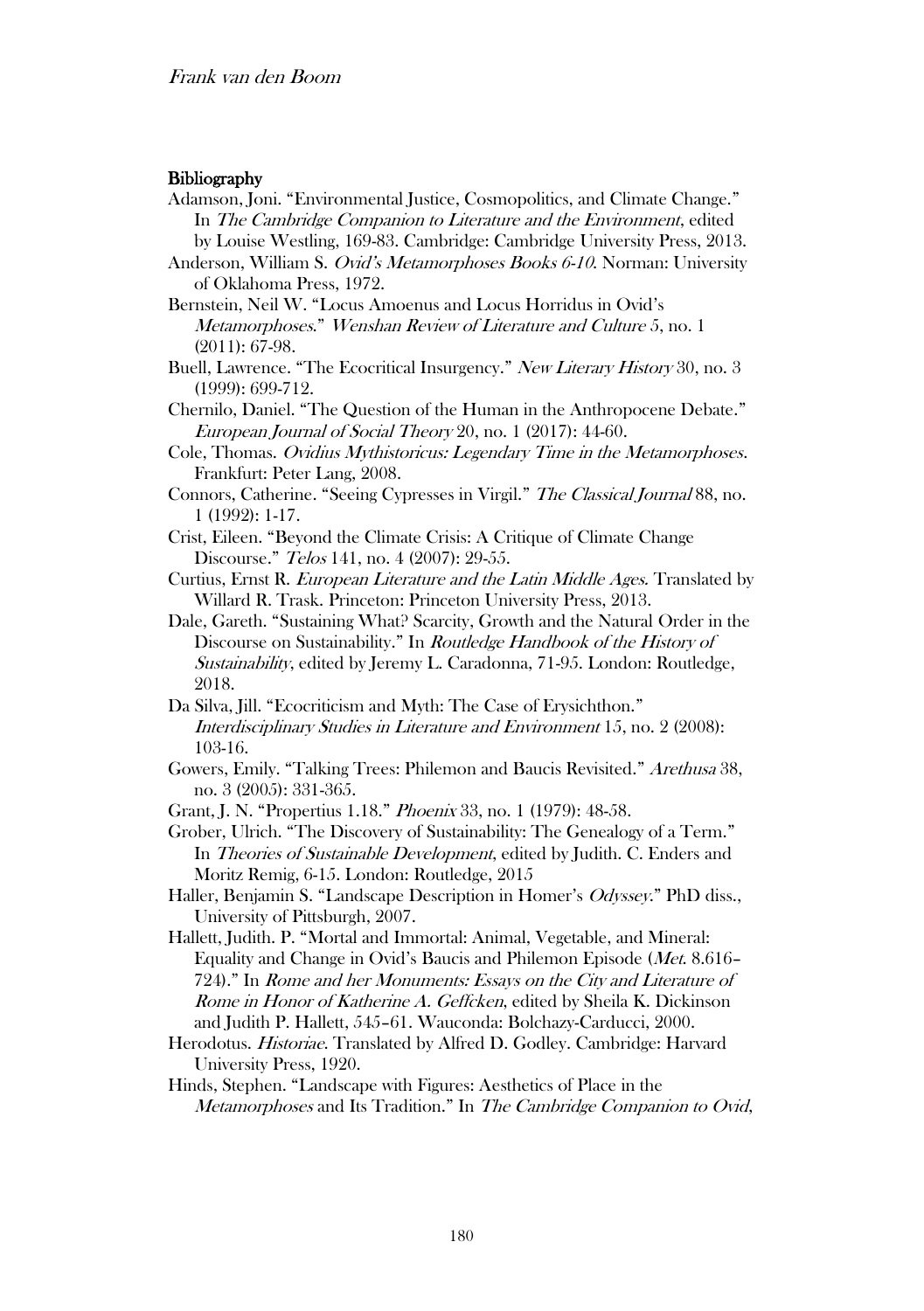#### **Bibliography**

- Adamson, Joni. "Environmental Justice, Cosmopolitics, and Climate Change." In The Cambridge Companion to Literature and the Environment, edited by Louise Westling, 169-83. Cambridge: Cambridge University Press, 2013.
- Anderson, William S. Ovid's Metamorphoses Books 6-10. Norman: University of Oklahoma Press, 1972.
- Bernstein, Neil W. "Locus Amoenus and Locus Horridus in Ovid's Metamorphoses." Wenshan Review of Literature and Culture 5, no. 1 (2011): 67-98.
- Buell, Lawrence. "The Ecocritical Insurgency." New Literary History 30, no. 3 (1999): 699-712.
- Chernilo, Daniel. "The Question of the Human in the Anthropocene Debate." European Journal of Social Theory 20, no. 1 (2017): 44-60.
- Cole, Thomas. Ovidius Mythistoricus: Legendary Time in the Metamorphoses. Frankfurt: Peter Lang, 2008.
- Connors, Catherine. "Seeing Cypresses in Virgil." The Classical Journal 88, no. 1 (1992): 1-17.
- Crist, Eileen. "Beyond the Climate Crisis: A Critique of Climate Change Discourse." Telos 141, no. 4 (2007): 29-55.
- Curtius, Ernst R. European Literature and the Latin Middle Ages. Translated by Willard R. Trask. Princeton: Princeton University Press, 2013.
- Dale, Gareth. "Sustaining What? Scarcity, Growth and the Natural Order in the Discourse on Sustainability." In Routledge Handbook of the History of Sustainability, edited by Jeremy L. Caradonna, 71-95. London: Routledge, 2018.
- Da Silva, Jill. "Ecocriticism and Myth: The Case of Erysichthon." Interdisciplinary Studies in Literature and Environment 15, no. 2 (2008): 103-16.
- Gowers, Emily. "Talking Trees: Philemon and Baucis Revisited." Arethusa 38, no. 3 (2005): 331-365.
- Grant, J. N. "Propertius 1.18." Phoenix 33, no. 1 (1979): 48-58.
- Grober, Ulrich. "The Discovery of Sustainability: The Genealogy of a Term." In Theories of Sustainable Development, edited by Judith. C. Enders and Moritz Remig, 6-15. London: Routledge, 2015
- Haller, Benjamin S. "Landscape Description in Homer's Odyssey." PhD diss., University of Pittsburgh, 2007.
- Hallett, Judith. P. "Mortal and Immortal: Animal, Vegetable, and Mineral: Equality and Change in Ovid's Baucis and Philemon Episode (Met. 8.616– 724)." In Rome and her Monuments: Essays on the City and Literature of Rome in Honor of Katherine A. Geffcken, edited by Sheila K. Dickinson and Judith P. Hallett, 545–61. Wauconda: Bolchazy-Carducci, 2000.
- Herodotus. Historiae. Translated by Alfred D. Godley. Cambridge: Harvard University Press, 1920.
- Hinds, Stephen. "Landscape with Figures: Aesthetics of Place in the Metamorphoses and Its Tradition." In The Cambridge Companion to Ovid,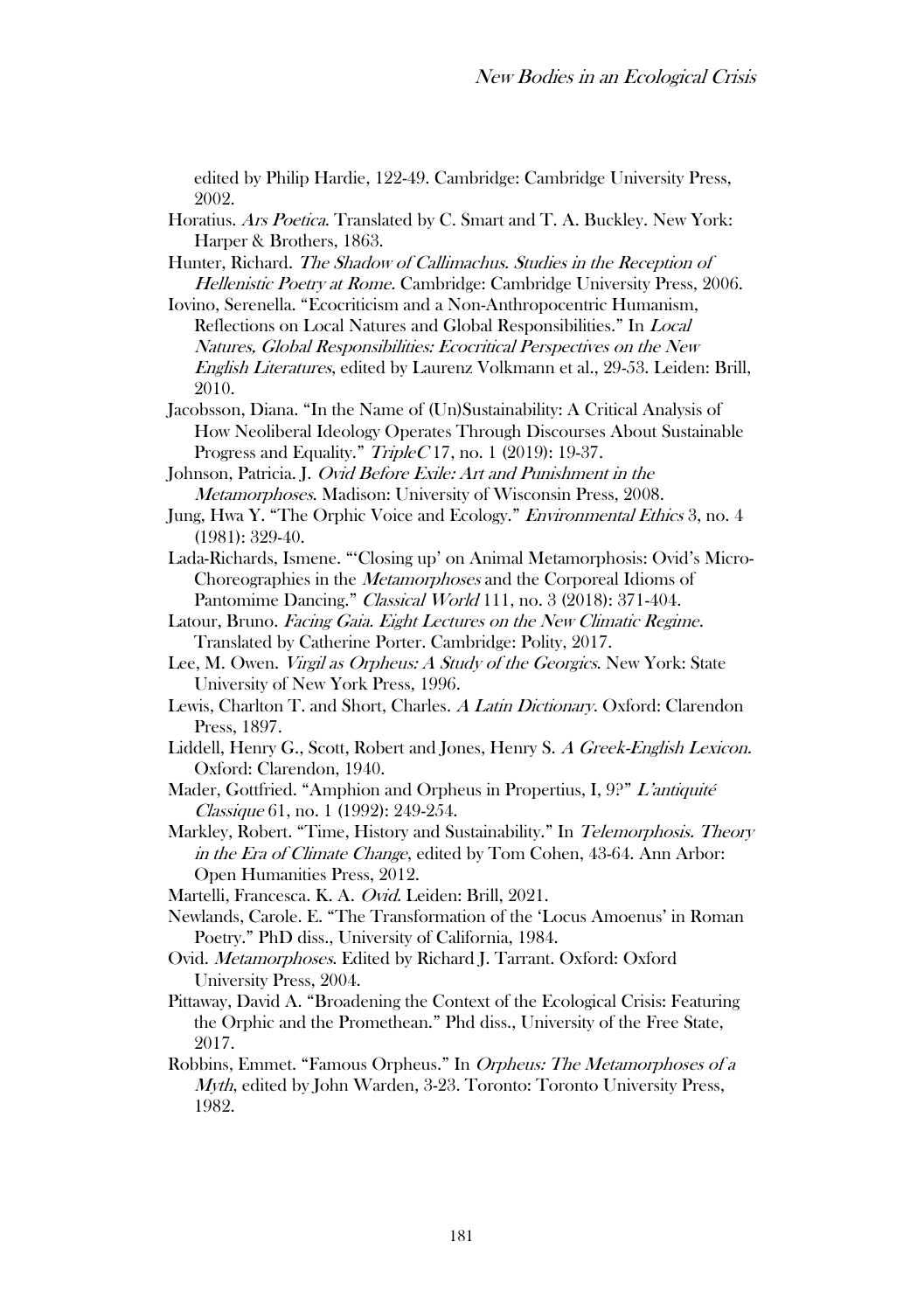edited by Philip Hardie, 122-49. Cambridge: Cambridge University Press, 2002.

- Horatius. Ars Poetica. Translated by C. Smart and T. A. Buckley. New York: Harper & Brothers, 1863.
- Hunter, Richard. The Shadow of Callimachus. Studies in the Reception of Hellenistic Poetry at Rome. Cambridge: Cambridge University Press, 2006.
- Iovino, Serenella. "Ecocriticism and a Non-Anthropocentric Humanism, Reflections on Local Natures and Global Responsibilities." In Local Natures, Global Responsibilities: Ecocritical Perspectives on the New English Literatures, edited by Laurenz Volkmann et al., 29-53. Leiden: Brill, 2010.
- Jacobsson, Diana. "In the Name of (Un)Sustainability: A Critical Analysis of How Neoliberal Ideology Operates Through Discourses About Sustainable Progress and Equality." TripleC 17, no. 1 (2019): 19-37.
- Johnson, Patricia. J. Ovid Before Exile: Art and Punishment in the Metamorphoses. Madison: University of Wisconsin Press, 2008.
- Jung, Hwa Y. "The Orphic Voice and Ecology." *Environmental Ethics* 3, no. 4 (1981): 329-40.
- Lada-Richards, Ismene. "'Closing up' on Animal Metamorphosis: Ovid's Micro-Choreographies in the Metamorphoses and the Corporeal Idioms of Pantomime Dancing." Classical World 111, no. 3 (2018): 371-404.
- Latour, Bruno. Facing Gaia. Eight Lectures on the New Climatic Regime. Translated by Catherine Porter. Cambridge: Polity, 2017.
- Lee, M. Owen. Virgil as Orpheus: A Study of the Georgics. New York: State University of New York Press, 1996.
- Lewis, Charlton T. and Short, Charles. A Latin Dictionary. Oxford: Clarendon Press, 1897.
- Liddell, Henry G., Scott, Robert and Jones, Henry S. A Greek-English Lexicon. Oxford: Clarendon, 1940.
- Mader, Gottfried. "Amphion and Orpheus in Propertius, I, 9?" <sup>L</sup>'antiquité Classique 61, no. 1 (1992): 249-254.
- Markley, Robert. "Time, History and Sustainability." In Telemorphosis. Theory in the Era of Climate Change, edited by Tom Cohen, 43-64. Ann Arbor: Open Humanities Press, 2012.
- Martelli, Francesca. K. A. Ovid. Leiden: Brill, 2021.
- Newlands, Carole. E. "The Transformation of the 'Locus Amoenus' in Roman Poetry." PhD diss., University of California, 1984.
- Ovid. Metamorphoses. Edited by Richard J. Tarrant. Oxford: Oxford University Press, 2004.
- Pittaway, David A. "Broadening the Context of the Ecological Crisis: Featuring the Orphic and the Promethean." Phd diss., University of the Free State, 2017.
- Robbins, Emmet. "Famous Orpheus." In Orpheus: The Metamorphoses of a Myth, edited by John Warden, 3-23. Toronto: Toronto University Press, 1982.